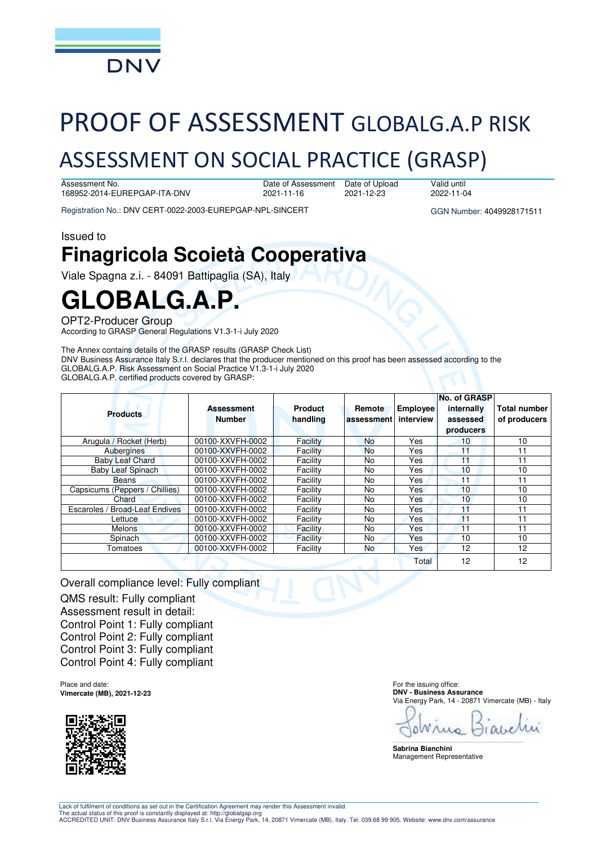

# PROOF OF ASSESSMENT GLOBALG.A.P RISK

## ASSESSMENT ON SOCIAL PRACTICE (GRASP)

Assessment No. 168952-2014-EUREPGAP-ITA-DNV Date of Assessment 2021-11-16 2021-12-23

Date of Upload

Registration No.: DNV CERT-0022-2003-EUREPGAP-NPL-SINCERT GGN Number: 4049928171511

2022-11-04

Valid until

Issued to

## **Finagricola Scoietà Cooperativa**

Viale Spagna z.i. - 84091 Battipaglia (SA), Italy

## **GLOBALG.A.P.**

OPT2-Producer Group

According to GRASP General Regulations V1.3-1-i July 2020

The Annex contains details of the GRASP results (GRASP Check List) DNV Business Assurance Italy S.r.l. declares that the producer mentioned on this proof has been assessed according to the GLOBALG.A.P. Risk Assessment on Social Practice V1.3-1-i July 2020 GLOBALG.A.P. certified products covered by GRASP:

|                                          |                   |                |            |            | No. of GRASP |                     |
|------------------------------------------|-------------------|----------------|------------|------------|--------------|---------------------|
| <b>Products</b>                          | <b>Assessment</b> | <b>Product</b> | Remote     | Employee   | internally   | <b>Total number</b> |
|                                          | <b>Number</b>     | handling       | assessment | interview  | assessed     | of producers        |
|                                          |                   |                |            |            | producers    |                     |
| Arugula / Rocket (Herb)                  | 00100-XXVFH-0002  | Facility       | <b>No</b>  | Yes        | 10           | 10                  |
| Aubergines                               | 00100-XXVFH-0002  | Facility       | <b>No</b>  | Yes        | 11           | 11                  |
| <b>Baby Leaf Chard</b>                   | 00100-XXVFH-0002  | Facility       | No.        | Yes        | 11           | 11                  |
| <b>Baby Leaf Spinach</b>                 | 00100-XXVFH-0002  | Facility       | No.        | Yes        | 10           | 10                  |
| Beans                                    | 00100-XXVFH-0002  | Facility       | No.        | Yes        | 11           | 11                  |
| Capsicums (Peppers / Chillies)           | 00100-XXVFH-0002  | Facility       | No.        | Yes        | 10           | 10                  |
| Chard                                    | 00100-XXVFH-0002  | Facility       | No.        | Yes        | 10           | 10                  |
| <b>Broad-Leaf Endives</b><br>Escaroles / | 00100-XXVFH-0002  | Facility       | No.        | Yes        | 11           | 11                  |
| Lettuce                                  | 00100-XXVFH-0002  | Facility       | No.        | <b>Yes</b> | 11           | 11                  |
| <b>Melons</b>                            | 00100-XXVFH-0002  | Facility       | No.        | Yes        | 11           | 11                  |
| Spinach                                  | 00100-XXVFH-0002  | Facility       | No.        | Yes        | 10           | 10                  |
| Tomatoes                                 | 00100-XXVFH-0002  | Facility       | <b>No</b>  | Yes        | 12           | 12                  |
|                                          |                   |                |            | Total      | 12           | 12                  |

Overall compliance level: Fully compliant QMS result: Fully compliant Assessment result in detail: Control Point 1: Fully compliant Control Point 2: Fully compliant Control Point 3: Fully compliant Control Point 4: Fully compliant

Place and date: **Vimercate (MB), 2021-12-23** 



For the issuing office: **DNV - Business Assurance**  Via Energy Park, 14 - 20871 Vimercate (MB) - Italy

\_\_\_\_\_\_\_\_\_\_\_\_\_\_\_\_\_\_\_\_\_\_\_\_\_\_\_\_\_\_\_\_\_\_\_\_\_\_\_\_\_\_\_\_\_\_\_\_\_\_\_\_\_\_\_\_\_\_\_\_\_\_\_\_\_\_\_\_\_\_\_\_\_\_\_\_\_\_ **Sabrina Bianchini**  Management Representative

Lack of fulfilment of conditions as set out in the Certification Agreement may render this Assessment invalid.

The actual status of this proof is constantly displayed at: http://globalgap.org<br>ACCREDITED UNIT: DNV Business Assurance Italy S.r.l. Via Energy Park, 14, 20871 Vimercate (MB), Italy. Tel. 039.68 99 905. Website: www.dnv.c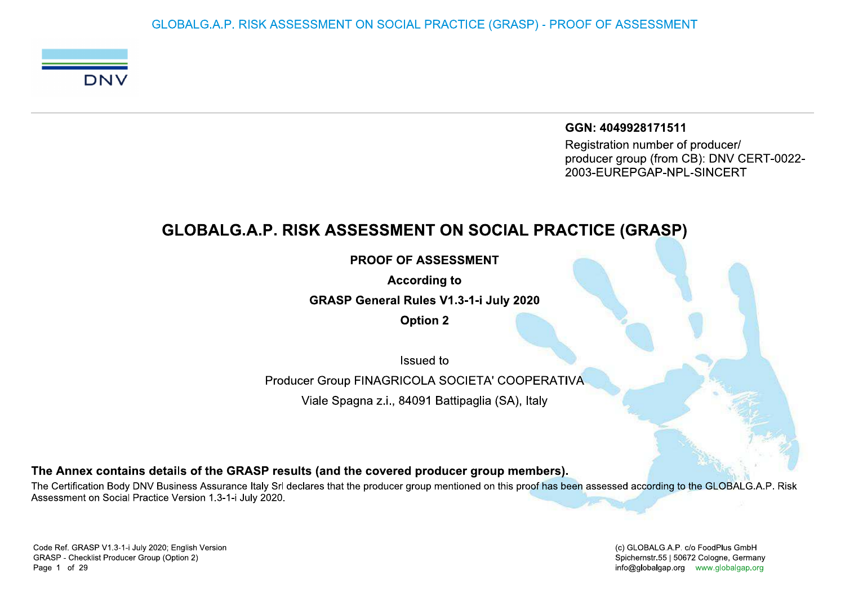GLOBALG.A.P. RISK ASSESSMENT ON SOCIAL PRACTICE (GRASP) - PROOF OF ASSESSMENT



GGN: 4049928171511 Registration number of producer/

producer group (from CB): DNV CERT-0022-2003-EUREPGAP-NPL-SINCERT

## **GLOBALG.A.P. RISK ASSESSMENT ON SOCIAL PRACTICE (GRASP)**

**PROOF OF ASSESSMENT** 

**According to** 

**GRASP General Rules V1.3-1-i July 2020** 

**Option 2** 

Issued to

Producer Group FINAGRICOLA SOCIETA' COOPERATIVA

Viale Spagna z.i., 84091 Battipaglia (SA), Italy

The Annex contains details of the GRASP results (and the covered producer group members).

The Certification Body DNV Business Assurance Italy Srl declares that the producer group mentioned on this proof has been assessed according to the GLOBALG.A.P. Risk Assessment on Social Practice Version 1.3-1-i July 2020.

(c) GLOBALG.A.P. c/o FoodPlus GmbH Spichernstr.55 | 50672 Cologne, Germany info@globalgap.org www.globalgap.org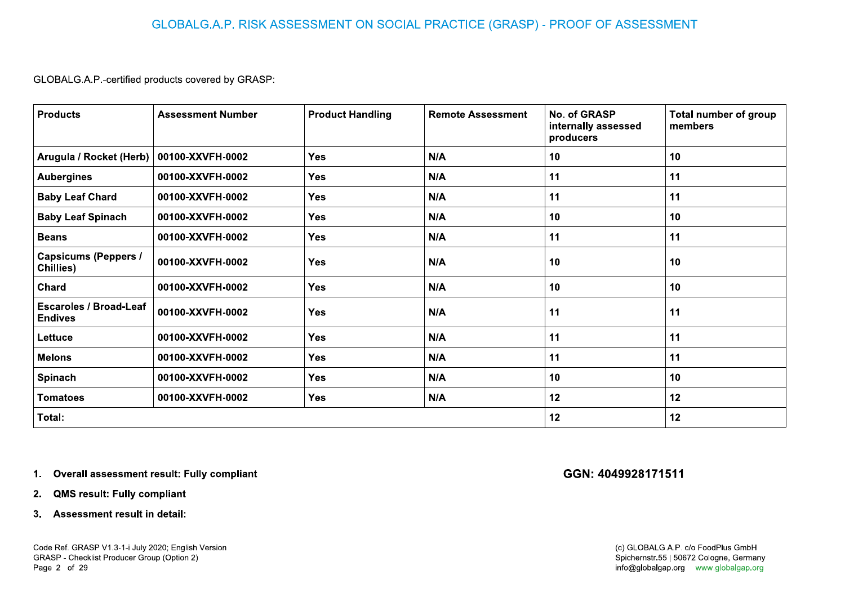|                                                 | <b>Assessment Number</b> | <b>Product Handling</b> | <b>Remote Assessment</b> | No. of GRASP<br>internally assessed<br>producers | <b>Total number of group</b><br>members |
|-------------------------------------------------|--------------------------|-------------------------|--------------------------|--------------------------------------------------|-----------------------------------------|
| Arugula / Rocket (Herb)   00100-XXVFH-0002      |                          | Yes                     | N/A                      | 10                                               | 10                                      |
| <b>Aubergines</b>                               | 00100-XXVFH-0002         | <b>Yes</b>              | N/A                      | 11                                               | 11                                      |
| <b>Baby Leaf Chard</b>                          | 00100-XXVFH-0002         | <b>Yes</b>              | N/A                      | 11                                               | 11                                      |
| <b>Baby Leaf Spinach</b>                        | 00100-XXVFH-0002         | Yes                     | N/A                      | 10                                               | 10                                      |
| <b>Beans</b>                                    | 00100-XXVFH-0002         | <b>Yes</b>              | N/A                      | 11                                               | 11                                      |
| <b>Capsicums (Peppers /</b><br>Chillies)        | 00100-XXVFH-0002         | Yes                     | N/A                      | 10                                               | 10 <sub>1</sub>                         |
| Chard                                           | 00100-XXVFH-0002         | <b>Yes</b>              | N/A                      | 10                                               | 10 <sub>1</sub>                         |
| <b>Escaroles / Broad-Leaf</b><br><b>Endives</b> | 00100-XXVFH-0002         | <b>Yes</b>              | N/A                      | 11                                               | 11                                      |
| Lettuce                                         | 00100-XXVFH-0002         | <b>Yes</b>              | N/A                      | 11                                               | 11                                      |
| <b>Melons</b>                                   | 00100-XXVFH-0002         | <b>Yes</b>              | N/A                      | 11                                               | 11                                      |
| Spinach                                         | 00100-XXVFH-0002         | <b>Yes</b>              | N/A                      | 10                                               | 10 <sub>1</sub>                         |
| <b>Tomatoes</b>                                 | 00100-XXVFH-0002         | <b>Yes</b>              | N/A                      | 12                                               | 12                                      |
| Total:                                          |                          |                         |                          | 12                                               | 12                                      |

- 
-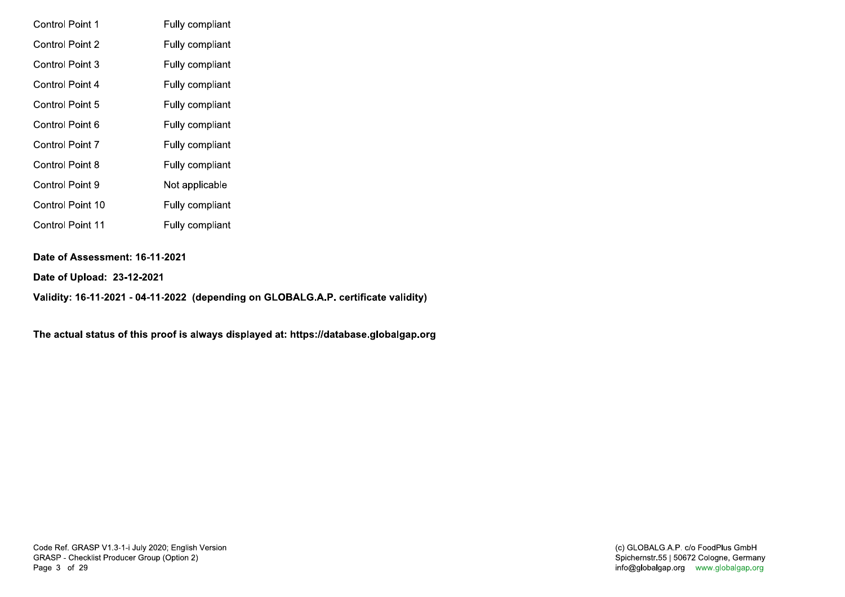| <b>Control Point 1</b>  | Fully compliant |
|-------------------------|-----------------|
| <b>Control Point 2</b>  | Fully compliant |
| Control Point 3         | Fully compliant |
| Control Point 4         | Fully compliant |
| Control Point 5         | Fully compliant |
| Control Point 6         | Fully compliant |
| <b>Control Point 7</b>  | Fully compliant |
| <b>Control Point 8</b>  | Fully compliant |
| Control Point 9         | Not applicable  |
| Control Point 10        | Fully compliant |
| <b>Control Point 11</b> | Fully compliant |

### Date of Assessment: 16-11-2021

Date of Upload: 23-12-2021

Validity: 16-11-2021 - 04-11-2022 (depending on GLOBALG.A.P. certificate validity)

The actual status of this proof is always displayed at: https://database.globalgap.org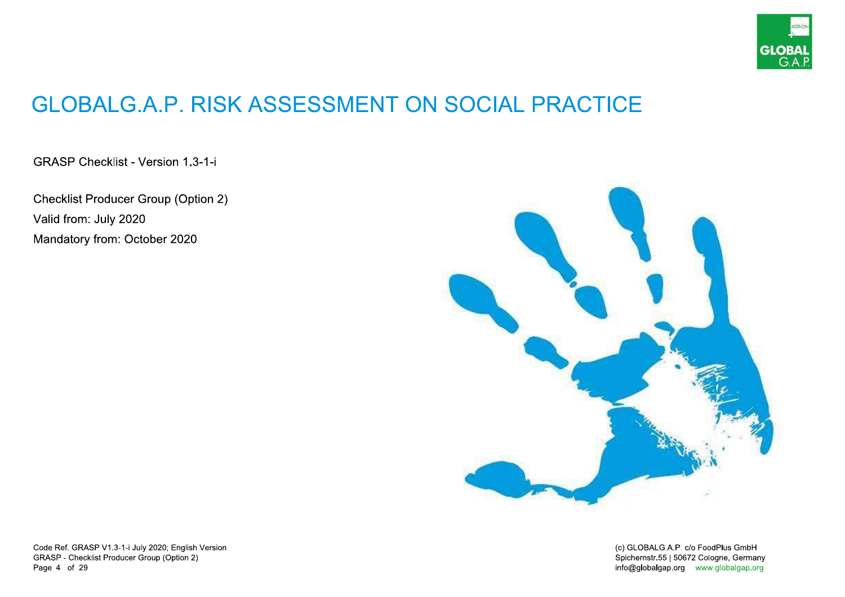

## **GLOBALG.A.P. RISK ASSESSMENT ON SOCIAL PRACTICE**

**GRASP Checklist - Version 1.3-1-i** 

**Checklist Producer Group (Option 2)** Valid from: July 2020 Mandatory from: October 2020



Code Ref. GRASP V1.3-1-i July 2020; English Version GRASP - Checklist Producer Group (Option 2) Page 4 of 29

(c) GLOBALG.A.P. c/o FoodPlus GmbH Spichernstr.55 | 50672 Cologne, Germany info@globalgap.org www.globalgap.org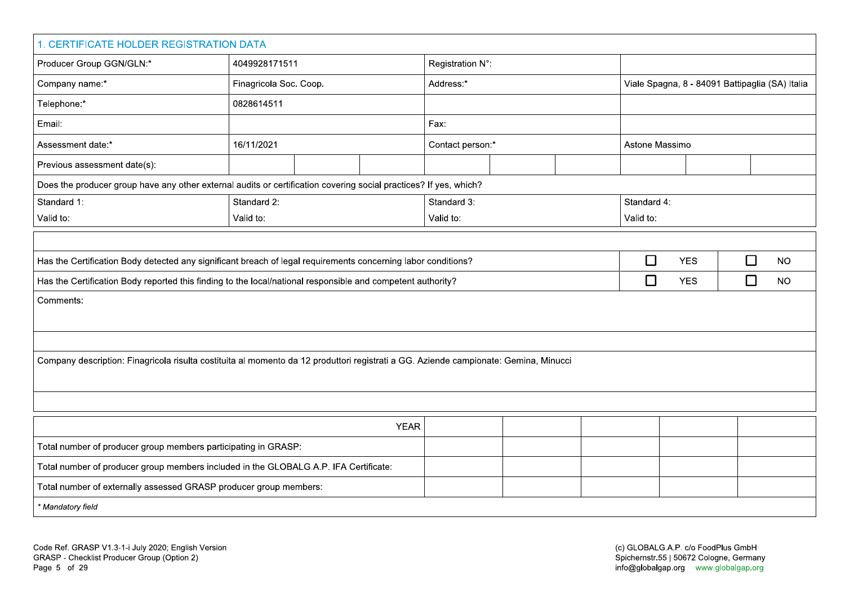| 1. CERTIFICATE HOLDER REGISTRATION DATA                                                                                              |                            |  |             |                  |             |  |                |                                                 |        |           |  |  |  |  |  |  |
|--------------------------------------------------------------------------------------------------------------------------------------|----------------------------|--|-------------|------------------|-------------|--|----------------|-------------------------------------------------|--------|-----------|--|--|--|--|--|--|
| Producer Group GGN/GLN:*                                                                                                             | 4049928171511              |  |             | Registration N°: |             |  |                |                                                 |        |           |  |  |  |  |  |  |
| Company name:*                                                                                                                       | Finagricola Soc. Coop.     |  |             | Address:*        |             |  |                | Viale Spagna, 8 - 84091 Battipaglia (SA) Italia |        |           |  |  |  |  |  |  |
| Telephone:*                                                                                                                          | 0828614511                 |  |             |                  |             |  |                |                                                 |        |           |  |  |  |  |  |  |
| Email:                                                                                                                               |                            |  |             | Fax:             |             |  |                |                                                 |        |           |  |  |  |  |  |  |
| Assessment date:*                                                                                                                    | 16/11/2021                 |  |             | Contact person:* |             |  | Astone Massimo |                                                 |        |           |  |  |  |  |  |  |
| Previous assessment date(s):                                                                                                         |                            |  |             |                  |             |  |                |                                                 |        |           |  |  |  |  |  |  |
| Does the producer group have any other external audits or certification covering social practices? If yes, which?                    |                            |  |             |                  |             |  |                |                                                 |        |           |  |  |  |  |  |  |
| Standard 1:                                                                                                                          | Standard 2:<br>Standard 3: |  |             |                  | Standard 4: |  |                |                                                 |        |           |  |  |  |  |  |  |
| Valid to:                                                                                                                            | Valid to:                  |  |             | Valid to:        |             |  | Valid to:      |                                                 |        |           |  |  |  |  |  |  |
|                                                                                                                                      |                            |  |             |                  |             |  |                |                                                 |        |           |  |  |  |  |  |  |
| Has the Certification Body detected any significant breach of legal requirements concerning labor conditions?                        |                            |  |             |                  |             |  | $\Box$         | <b>YES</b>                                      | $\Box$ | <b>NO</b> |  |  |  |  |  |  |
| Has the Certification Body reported this finding to the local/national responsible and competent authority?                          |                            |  |             |                  |             |  | $\Box$         | <b>YES</b>                                      | $\Box$ | <b>NO</b> |  |  |  |  |  |  |
| Comments:                                                                                                                            |                            |  |             |                  |             |  |                |                                                 |        |           |  |  |  |  |  |  |
|                                                                                                                                      |                            |  |             |                  |             |  |                |                                                 |        |           |  |  |  |  |  |  |
|                                                                                                                                      |                            |  |             |                  |             |  |                |                                                 |        |           |  |  |  |  |  |  |
| Company description: Finagricola risulta costituita al momento da 12 produttori registrati a GG. Aziende campionate: Gemina, Minucci |                            |  |             |                  |             |  |                |                                                 |        |           |  |  |  |  |  |  |
|                                                                                                                                      |                            |  |             |                  |             |  |                |                                                 |        |           |  |  |  |  |  |  |
|                                                                                                                                      |                            |  |             |                  |             |  |                |                                                 |        |           |  |  |  |  |  |  |
|                                                                                                                                      |                            |  | <b>YEAR</b> |                  |             |  |                |                                                 |        |           |  |  |  |  |  |  |
| Total number of producer group members participating in GRASP:                                                                       |                            |  |             |                  |             |  |                |                                                 |        |           |  |  |  |  |  |  |
| Total number of producer group members included in the GLOBALG.A.P. IFA Certificate:                                                 |                            |  |             |                  |             |  |                |                                                 |        |           |  |  |  |  |  |  |
| Total number of externally assessed GRASP producer group members:                                                                    |                            |  |             |                  |             |  |                |                                                 |        |           |  |  |  |  |  |  |
|                                                                                                                                      |                            |  |             |                  |             |  |                |                                                 |        |           |  |  |  |  |  |  |
|                                                                                                                                      |                            |  |             |                  |             |  |                | * Mandatory field                               |        |           |  |  |  |  |  |  |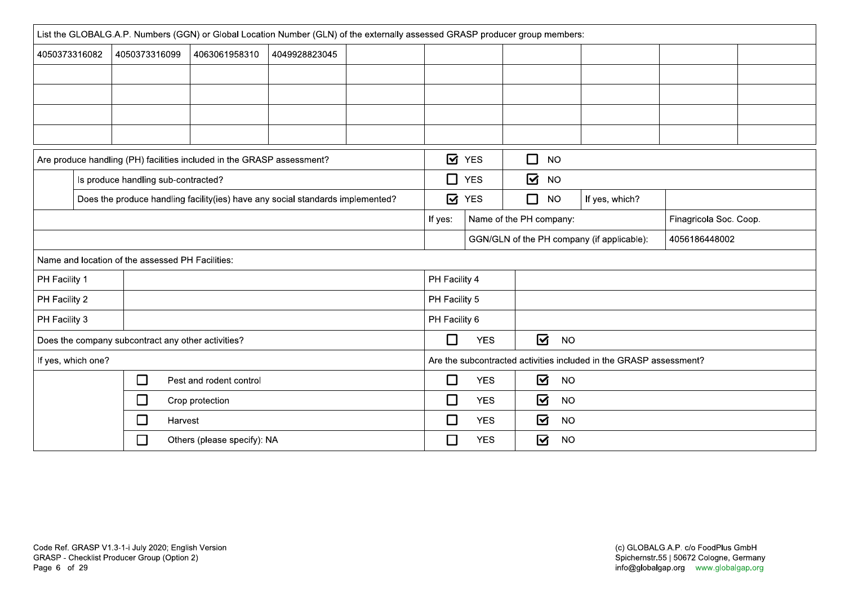|               | List the GLOBALG.A.P. Numbers (GGN) or Global Location Number (GLN) of the externally assessed GRASP producer group members: |                                                  |                                                    |               |  |               |            |                         |                |                                                                    |                        |  |
|---------------|------------------------------------------------------------------------------------------------------------------------------|--------------------------------------------------|----------------------------------------------------|---------------|--|---------------|------------|-------------------------|----------------|--------------------------------------------------------------------|------------------------|--|
| 4050373316082 |                                                                                                                              | 4050373316099                                    | 4063061958310                                      | 4049928823045 |  |               |            |                         |                |                                                                    |                        |  |
|               |                                                                                                                              |                                                  |                                                    |               |  |               |            |                         |                |                                                                    |                        |  |
|               |                                                                                                                              |                                                  |                                                    |               |  |               |            |                         |                |                                                                    |                        |  |
|               |                                                                                                                              |                                                  |                                                    |               |  |               |            |                         |                |                                                                    |                        |  |
|               |                                                                                                                              |                                                  |                                                    |               |  |               |            |                         |                |                                                                    |                        |  |
|               | <b>Ø</b> YES<br>$\Box$<br><b>NO</b><br>Are produce handling (PH) facilities included in the GRASP assessment?                |                                                  |                                                    |               |  |               |            |                         |                |                                                                    |                        |  |
|               | Is produce handling sub-contracted?                                                                                          |                                                  |                                                    |               |  |               | $\Box$ YES | $\overline{\mathbf{S}}$ | <b>NO</b>      |                                                                    |                        |  |
|               | Does the produce handling facility(ies) have any social standards implemented?                                               |                                                  |                                                    |               |  | <b>Ø</b> YES  | $\Box$     | <b>NO</b>               | If yes, which? |                                                                    |                        |  |
|               |                                                                                                                              |                                                  |                                                    |               |  |               |            | Name of the PH company: |                |                                                                    | Finagricola Soc. Coop. |  |
|               |                                                                                                                              |                                                  |                                                    |               |  |               |            |                         |                | GGN/GLN of the PH company (if applicable):                         | 4056186448002          |  |
|               |                                                                                                                              | Name and location of the assessed PH Facilities: |                                                    |               |  |               |            |                         |                |                                                                    |                        |  |
| PH Facility 1 |                                                                                                                              |                                                  |                                                    |               |  | PH Facility 4 |            |                         |                |                                                                    |                        |  |
| PH Facility 2 |                                                                                                                              |                                                  |                                                    |               |  | PH Facility 5 |            |                         |                |                                                                    |                        |  |
| PH Facility 3 |                                                                                                                              |                                                  |                                                    |               |  | PH Facility 6 |            |                         |                |                                                                    |                        |  |
|               |                                                                                                                              |                                                  | Does the company subcontract any other activities? |               |  | $\Box$        | <b>YES</b> | $\overline{\mathbf{S}}$ | <b>NO</b>      |                                                                    |                        |  |
|               | If yes, which one?                                                                                                           |                                                  |                                                    |               |  |               |            |                         |                | Are the subcontracted activities included in the GRASP assessment? |                        |  |
|               |                                                                                                                              | $\Box$                                           | Pest and rodent control                            |               |  | $\Box$        | <b>YES</b> | $\boldsymbol{\nabla}$   | <b>NO</b>      |                                                                    |                        |  |
|               |                                                                                                                              | □                                                | Crop protection                                    |               |  | □             | <b>YES</b> | ☑                       | <b>NO</b>      |                                                                    |                        |  |
|               |                                                                                                                              | □                                                | Harvest                                            |               |  | □             | <b>YES</b> | ☑                       | <b>NO</b>      |                                                                    |                        |  |
|               |                                                                                                                              | $\Box$                                           | Others (please specify): NA                        |               |  | $\Box$        | <b>YES</b> | $\overline{\mathbf{S}}$ | <b>NO</b>      |                                                                    |                        |  |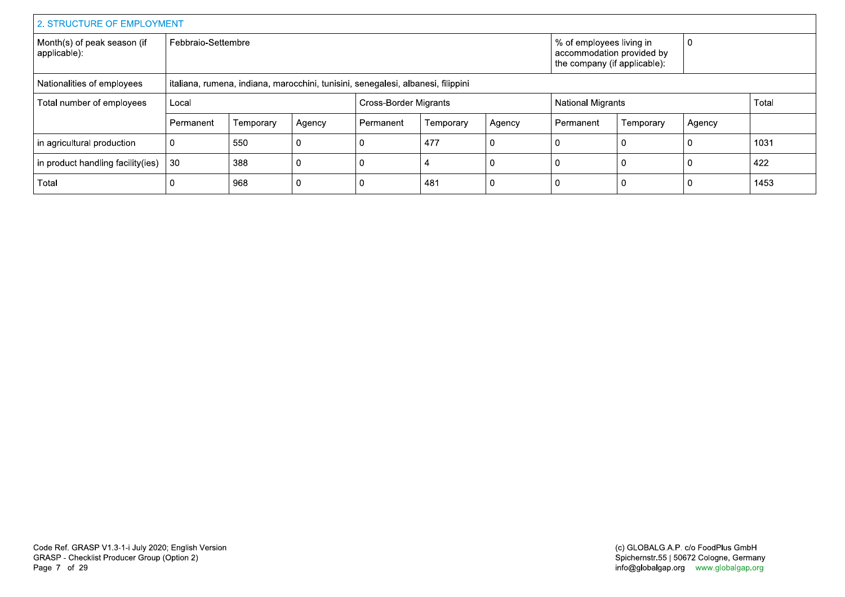| 2. STRUCTURE OF EMPLOYMENT                                                                                     |                    |           |        |           |                              |        |                                                                                       |                          |        |      |  |
|----------------------------------------------------------------------------------------------------------------|--------------------|-----------|--------|-----------|------------------------------|--------|---------------------------------------------------------------------------------------|--------------------------|--------|------|--|
| Month(s) of peak season (if<br>applicable):                                                                    | Febbraio-Settembre |           |        |           |                              |        | % of employees living in<br>accommodation provided by<br>the company (if applicable): |                          | 0      |      |  |
| italiana, rumena, indiana, marocchini, tunisini, senegalesi, albanesi, filippini<br>Nationalities of employees |                    |           |        |           |                              |        |                                                                                       |                          |        |      |  |
| Total number of employees                                                                                      | Local              |           |        |           | <b>Cross-Border Migrants</b> |        |                                                                                       | <b>National Migrants</b> |        |      |  |
|                                                                                                                | Permanent          | Temporary | Agency | Permanent | Temporary                    | Agency | Permanent                                                                             | Temporary                | Agency |      |  |
| in agricultural production                                                                                     |                    | 550       |        |           | 477                          | - C    | $\Omega$                                                                              |                          | -0     | 1031 |  |
| in product handling facility (ies)                                                                             | 30                 | 388       |        |           |                              |        | 0                                                                                     |                          | 0      | 422  |  |
| Total                                                                                                          |                    | 968       |        |           | 481                          |        | 0                                                                                     |                          |        | 1453 |  |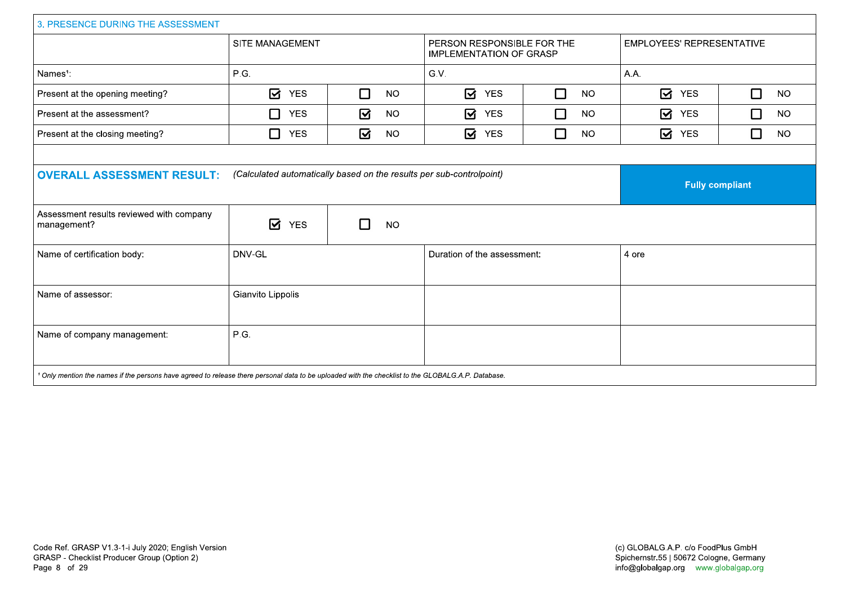| 3. PRESENCE DURING THE ASSESSMENT                                                                                                                             |                        |                |                                                              |                     |                                      |                     |  |  |  |  |
|---------------------------------------------------------------------------------------------------------------------------------------------------------------|------------------------|----------------|--------------------------------------------------------------|---------------------|--------------------------------------|---------------------|--|--|--|--|
|                                                                                                                                                               | SITE MANAGEMENT        |                | PERSON RESPONSIBLE FOR THE<br><b>IMPLEMENTATION OF GRASP</b> |                     | EMPLOYEES' REPRESENTATIVE            |                     |  |  |  |  |
| Names <sup>1</sup> :                                                                                                                                          | P.G.                   |                | G.V.                                                         |                     | A.A.                                 |                     |  |  |  |  |
| Present at the opening meeting?                                                                                                                               | ☑<br><b>YES</b>        | П<br><b>NO</b> | $\overline{\mathbf{M}}$<br><b>YES</b>                        | $\Box$<br><b>NO</b> | $\boldsymbol{\boxdot}$<br><b>YES</b> | $\Box$<br><b>NO</b> |  |  |  |  |
| Present at the assessment?                                                                                                                                    | □<br><b>YES</b>        | ☑<br><b>NO</b> | ☑<br><b>YES</b>                                              | $\Box$<br><b>NO</b> | ☑<br><b>YES</b>                      | $\Box$<br><b>NO</b> |  |  |  |  |
| Present at the closing meeting?                                                                                                                               | □<br><b>YES</b>        | ☑<br><b>NO</b> | ☑<br><b>YES</b>                                              | П<br><b>NO</b>      | ☑<br><b>YES</b>                      | $\Box$<br><b>NO</b> |  |  |  |  |
|                                                                                                                                                               |                        |                |                                                              |                     |                                      |                     |  |  |  |  |
| <b>OVERALL ASSESSMENT RESULT:</b>                                                                                                                             | <b>Fully compliant</b> |                |                                                              |                     |                                      |                     |  |  |  |  |
| Assessment results reviewed with company<br>management?                                                                                                       | ☑<br><b>YES</b>        | <b>NO</b>      |                                                              |                     |                                      |                     |  |  |  |  |
| Name of certification body:                                                                                                                                   | DNV-GL                 |                | Duration of the assessment:                                  |                     | 4 ore                                |                     |  |  |  |  |
| Name of assessor:                                                                                                                                             | Gianvito Lippolis      |                |                                                              |                     |                                      |                     |  |  |  |  |
| Name of company management:                                                                                                                                   | P.G.                   |                |                                                              |                     |                                      |                     |  |  |  |  |
| <sup>1</sup> Only mention the names if the persons have agreed to release there personal data to be uploaded with the checklist to the GLOBALG.A.P. Database. |                        |                |                                                              |                     |                                      |                     |  |  |  |  |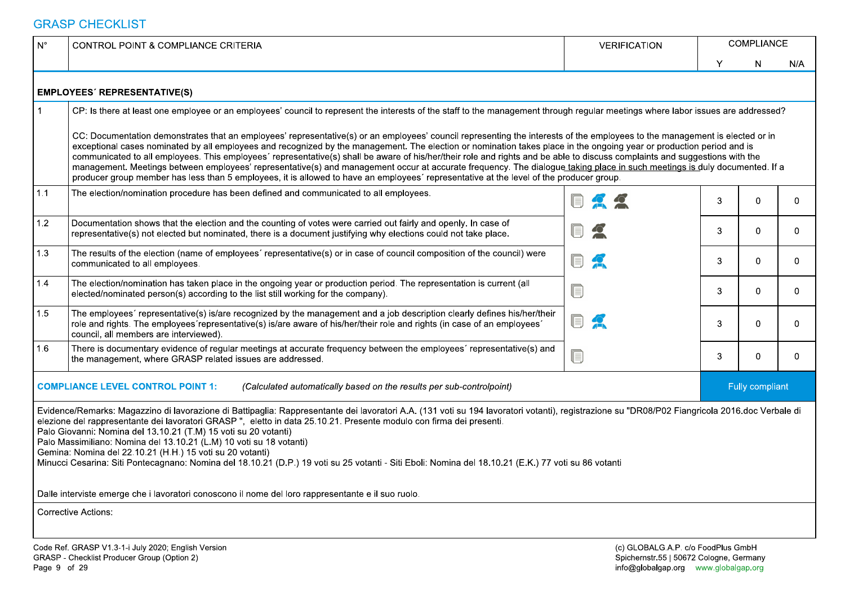| $N^{\circ}$ | CONTROL POINT & COMPLIANCE CRITERIA                                                                                                                                                                                                                                                                                                                                                                                                                                                                                                                                                                                                                                                                                                                                                        | <b>VERIFICATION</b>                                                           |                                      | COMPLIANCE      |          |
|-------------|--------------------------------------------------------------------------------------------------------------------------------------------------------------------------------------------------------------------------------------------------------------------------------------------------------------------------------------------------------------------------------------------------------------------------------------------------------------------------------------------------------------------------------------------------------------------------------------------------------------------------------------------------------------------------------------------------------------------------------------------------------------------------------------------|-------------------------------------------------------------------------------|--------------------------------------|-----------------|----------|
|             |                                                                                                                                                                                                                                                                                                                                                                                                                                                                                                                                                                                                                                                                                                                                                                                            |                                                                               |                                      | N.              | N/A      |
|             | <b>EMPLOYEES' REPRESENTATIVE(S)</b>                                                                                                                                                                                                                                                                                                                                                                                                                                                                                                                                                                                                                                                                                                                                                        |                                                                               |                                      |                 |          |
|             | CP: Is there at least one employee or an employees' council to represent the interests of the staff to the management through regular meetings where labor issues are addressed?                                                                                                                                                                                                                                                                                                                                                                                                                                                                                                                                                                                                           |                                                                               |                                      |                 |          |
| 1.1         | exceptional cases nominated by all employees and recognized by the management. The election or nomination takes place in the ongoing year or production period and is<br>communicated to all employees. This employees' representative(s) shall be aware of his/her/their role and rights and be able to discuss complaints and suggestions with the<br>management. Meetings between employees' representative(s) and management occur at accurate frequency. The dialogue taking place in such meetings is duly documented. If a<br>producer group member has less than 5 employees, it is allowed to have an employees' representative at the level of the producer group.<br>The election/nomination procedure has been defined and communicated to all employees.                      |                                                                               |                                      |                 | $\Omega$ |
| 1.2         | Documentation shows that the election and the counting of votes were carried out fairly and openly. In case of<br>representative(s) not elected but nominated, there is a document justifying why elections could not take place.                                                                                                                                                                                                                                                                                                                                                                                                                                                                                                                                                          | UJ                                                                            | З                                    | $\Omega$        | 0        |
| 1.3         | The results of the election (name of employees' representative(s) or in case of council composition of the council) were<br>communicated to all employees.                                                                                                                                                                                                                                                                                                                                                                                                                                                                                                                                                                                                                                 | U                                                                             | З                                    | $\Omega$        | 0        |
| 1.4         | The election/nomination has taken place in the ongoing year or production period. The representation is current (all<br>elected/nominated person(s) according to the list still working for the company).                                                                                                                                                                                                                                                                                                                                                                                                                                                                                                                                                                                  | O                                                                             | З                                    | $\Omega$        | 0        |
| 1.5         | The employees' representative(s) is/are recognized by the management and a job description clearly defines his/her/their<br>role and rights. The employees representative(s) is/are aware of his/her/their role and rights (in case of an employees'<br>council, all members are interviewed).                                                                                                                                                                                                                                                                                                                                                                                                                                                                                             | <b>DA</b>                                                                     | 3                                    | $\Omega$        | $\Omega$ |
| 1.6         | There is documentary evidence of regular meetings at accurate frequency between the employees' representative(s) and<br>the management, where GRASP related issues are addressed.                                                                                                                                                                                                                                                                                                                                                                                                                                                                                                                                                                                                          | U                                                                             |                                      |                 |          |
|             | <b>COMPLIANCE LEVEL CONTROL POINT 1:</b><br>(Calculated automatically based on the results per sub-controlpoint)                                                                                                                                                                                                                                                                                                                                                                                                                                                                                                                                                                                                                                                                           |                                                                               |                                      | Fully compliant |          |
|             | Evidence/Remarks: Magazzino di lavorazione di Battipaglia: Rappresentante dei lavoratori A.A. (131 voti su 194 lavoratori votanti), registrazione su "DR08/P02 Fiangricola 2016.doc Verbale di<br>elezione del rappresentante dei lavoratori GRASP", eletto in data 25.10.21. Presente modulo con firma dei presenti.<br>Palo Giovanni: Nomina del 13.10.21 (T.M) 15 voti su 20 votanti)<br>Palo Massimiliano: Nomina del 13.10.21 (L.M) 10 voti su 18 votanti)<br>Gemina: Nomina del 22.10.21 (H.H.) 15 voti su 20 votanti)<br>Minucci Cesarina: Siti Pontecagnano: Nomina del 18.10.21 (D.P.) 19 voti su 25 votanti - Siti Eboli: Nomina del 18.10.21 (E.K.) 77 voti su 86 votanti<br>Dalle interviste emerge che i lavoratori conoscono il nome del loro rappresentante e il suo ruolo. |                                                                               |                                      |                 |          |
|             | <b>Corrective Actions:</b>                                                                                                                                                                                                                                                                                                                                                                                                                                                                                                                                                                                                                                                                                                                                                                 |                                                                               |                                      |                 |          |
|             | Code Ref. GRASP V1.3-1-i July 2020; English Version<br>GRASP - Checklist Producer Group (Option 2)                                                                                                                                                                                                                                                                                                                                                                                                                                                                                                                                                                                                                                                                                         | (c) GLOBALG.A.P. c/o FoodPlus GmbH<br>Spichernstr.55   50672 Cologne, Germany | info@globalgap.org www.globalgap.org |                 |          |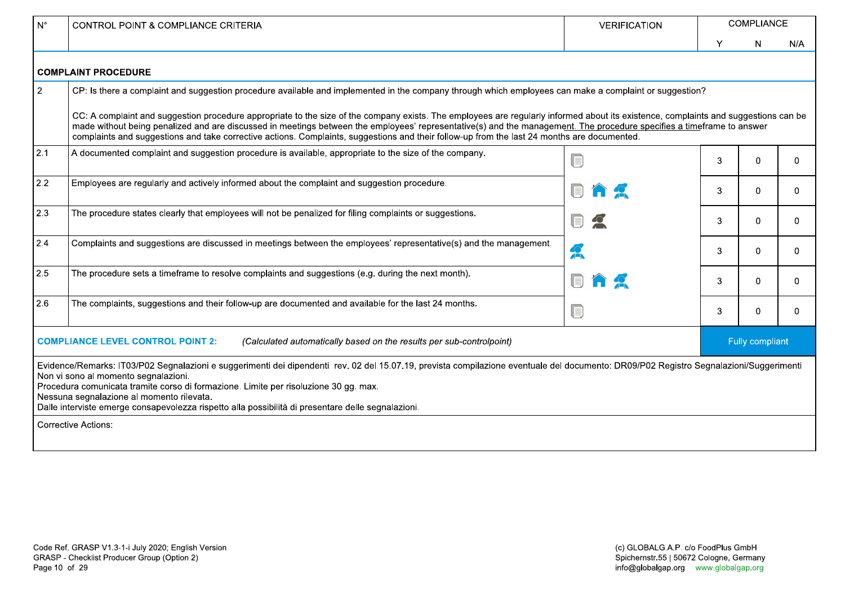| $N^{\circ}$    | <b>CONTROL POINT &amp; COMPLIANCE CRITERIA</b>                                                                                                                                                                                                                                                                                                                                                                                                                                                              | <b>VERIFICATION</b> |                 | <b>COMPLIANCE</b> |          |  |  |  |  |  |  |
|----------------|-------------------------------------------------------------------------------------------------------------------------------------------------------------------------------------------------------------------------------------------------------------------------------------------------------------------------------------------------------------------------------------------------------------------------------------------------------------------------------------------------------------|---------------------|-----------------|-------------------|----------|--|--|--|--|--|--|
|                |                                                                                                                                                                                                                                                                                                                                                                                                                                                                                                             |                     | Υ               | N.                | N/A      |  |  |  |  |  |  |
|                | <b>COMPLAINT PROCEDURE</b>                                                                                                                                                                                                                                                                                                                                                                                                                                                                                  |                     |                 |                   |          |  |  |  |  |  |  |
| $\overline{2}$ | CP: Is there a complaint and suggestion procedure available and implemented in the company through which employees can make a complaint or suggestion?                                                                                                                                                                                                                                                                                                                                                      |                     |                 |                   |          |  |  |  |  |  |  |
|                | CC: A complaint and suggestion procedure appropriate to the size of the company exists. The employees are regularly informed about its existence, complaints and suggestions can be<br>made without being penalized and are discussed in meetings between the employees' representative(s) and the management. The procedure specifies a timeframe to answer<br>complaints and suggestions and take corrective actions. Complaints, suggestions and their follow-up from the last 24 months are documented. |                     |                 |                   |          |  |  |  |  |  |  |
| 2.1            | A documented complaint and suggestion procedure is available, appropriate to the size of the company.                                                                                                                                                                                                                                                                                                                                                                                                       |                     | 3               | $\Omega$          | $\Omega$ |  |  |  |  |  |  |
| 2.2            | Employees are regularly and actively informed about the complaint and suggestion procedure.                                                                                                                                                                                                                                                                                                                                                                                                                 |                     | 3               | $\Omega$          | $\Omega$ |  |  |  |  |  |  |
| 2.3            | The procedure states clearly that employees will not be penalized for filing complaints or suggestions.                                                                                                                                                                                                                                                                                                                                                                                                     |                     | 3               | $\Omega$          | $\Omega$ |  |  |  |  |  |  |
| 2.4            | Complaints and suggestions are discussed in meetings between the employees' representative(s) and the management.                                                                                                                                                                                                                                                                                                                                                                                           | A                   | 3               | 0                 | $\Omega$ |  |  |  |  |  |  |
| 2.5            | The procedure sets a timeframe to resolve complaints and suggestions (e.g. during the next month).                                                                                                                                                                                                                                                                                                                                                                                                          |                     | 3               | 0                 | $\Omega$ |  |  |  |  |  |  |
| 2.6            | The complaints, suggestions and their follow-up are documented and available for the last 24 months.                                                                                                                                                                                                                                                                                                                                                                                                        |                     | 3               | $\Omega$          | $\Omega$ |  |  |  |  |  |  |
|                | <b>COMPLIANCE LEVEL CONTROL POINT 2:</b><br>(Calculated automatically based on the results per sub-controlpoint)                                                                                                                                                                                                                                                                                                                                                                                            |                     | Fully compliant |                   |          |  |  |  |  |  |  |
|                | Evidence/Remarks: IT03/P02 Segnalazioni e suggerimenti dei dipendenti rev. 02 del 15.07.19, prevista compilazione eventuale del documento: DR09/P02 Registro Segnalazioni/Suggerimenti<br>Non vi sono al momento segnalazioni.<br>Procedura comunicata tramite corso di formazione. Limite per risoluzione 30 gg. max.<br>Nessuna segnalazione al momento rilevata.<br>Dalle interviste emerge consapevolezza rispetto alla possibilità di presentare delle segnalazioni.                                   |                     |                 |                   |          |  |  |  |  |  |  |
|                | <b>Corrective Actions:</b>                                                                                                                                                                                                                                                                                                                                                                                                                                                                                  |                     |                 |                   |          |  |  |  |  |  |  |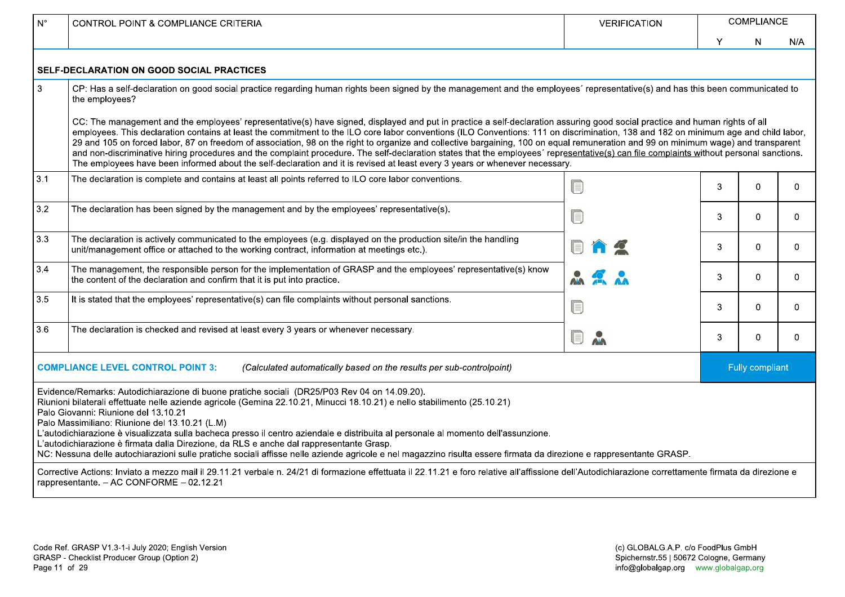| $N^{\circ}$ | <b>CONTROL POINT &amp; COMPLIANCE CRITERIA</b>                                                                                                                                                                                                                                                                                                                                                                                                                                                                                                                                                                                                                                                                                                                                                                                                                                     | <b>VERIFICATION</b> | COMPLIANCE |                 |              |  |  |  |  |  |  |
|-------------|------------------------------------------------------------------------------------------------------------------------------------------------------------------------------------------------------------------------------------------------------------------------------------------------------------------------------------------------------------------------------------------------------------------------------------------------------------------------------------------------------------------------------------------------------------------------------------------------------------------------------------------------------------------------------------------------------------------------------------------------------------------------------------------------------------------------------------------------------------------------------------|---------------------|------------|-----------------|--------------|--|--|--|--|--|--|
|             |                                                                                                                                                                                                                                                                                                                                                                                                                                                                                                                                                                                                                                                                                                                                                                                                                                                                                    |                     | Y          | N               | N/A          |  |  |  |  |  |  |
|             | <b>SELF-DECLARATION ON GOOD SOCIAL PRACTICES</b>                                                                                                                                                                                                                                                                                                                                                                                                                                                                                                                                                                                                                                                                                                                                                                                                                                   |                     |            |                 |              |  |  |  |  |  |  |
| 3           | CP: Has a self-declaration on good social practice regarding human rights been signed by the management and the employees' representative(s) and has this been communicated to<br>the employees?                                                                                                                                                                                                                                                                                                                                                                                                                                                                                                                                                                                                                                                                                   |                     |            |                 |              |  |  |  |  |  |  |
|             | CC: The management and the employees' representative(s) have signed, displayed and put in practice a self-declaration assuring good social practice and human rights of all<br>employees. This declaration contains at least the commitment to the ILO core labor conventions (ILO Conventions: 111 on discrimination, 138 and 182 on minimum age and child labor,<br>29 and 105 on forced labor, 87 on freedom of association, 98 on the right to organize and collective bargaining, 100 on equal remuneration and 99 on minimum wage) and transparent<br>and non-discriminative hiring procedures and the complaint procedure. The self-declaration states that the employees' representative(s) can file complaints without personal sanctions.<br>The employees have been informed about the self-declaration and it is revised at least every 3 years or whenever necessary. |                     |            |                 |              |  |  |  |  |  |  |
| 3.1         | The declaration is complete and contains at least all points referred to ILO core labor conventions.                                                                                                                                                                                                                                                                                                                                                                                                                                                                                                                                                                                                                                                                                                                                                                               | ſ.                  | 3          | 0               | $\mathbf{0}$ |  |  |  |  |  |  |
| 3.2         | The declaration has been signed by the management and by the employees' representative(s).                                                                                                                                                                                                                                                                                                                                                                                                                                                                                                                                                                                                                                                                                                                                                                                         | ſ.                  | 3          | $\Omega$        | $\Omega$     |  |  |  |  |  |  |
| 3.3         | The declaration is actively communicated to the employees (e.g. displayed on the production site/in the handling<br>unit/management office or attached to the working contract, information at meetings etc.).                                                                                                                                                                                                                                                                                                                                                                                                                                                                                                                                                                                                                                                                     |                     | 3          | $\Omega$        | $\Omega$     |  |  |  |  |  |  |
| 3.4         | The management, the responsible person for the implementation of GRASP and the employees' representative(s) know<br>the content of the declaration and confirm that it is put into practice.                                                                                                                                                                                                                                                                                                                                                                                                                                                                                                                                                                                                                                                                                       |                     | 3          | $\overline{0}$  | $\mathbf{0}$ |  |  |  |  |  |  |
| 3.5         | It is stated that the employees' representative(s) can file complaints without personal sanctions.                                                                                                                                                                                                                                                                                                                                                                                                                                                                                                                                                                                                                                                                                                                                                                                 | ſ                   | 3          | $\Omega$        | $\mathbf{0}$ |  |  |  |  |  |  |
| 3.6         | The declaration is checked and revised at least every 3 years or whenever necessary.                                                                                                                                                                                                                                                                                                                                                                                                                                                                                                                                                                                                                                                                                                                                                                                               | <b>NA</b><br>U      | 3          | $\Omega$        | $\Omega$     |  |  |  |  |  |  |
|             | <b>COMPLIANCE LEVEL CONTROL POINT 3:</b><br>(Calculated automatically based on the results per sub-controlpoint)                                                                                                                                                                                                                                                                                                                                                                                                                                                                                                                                                                                                                                                                                                                                                                   |                     |            | Fully compliant |              |  |  |  |  |  |  |
|             | Evidence/Remarks: Autodichiarazione di buone pratiche sociali (DR25/P03 Rev 04 on 14.09.20).<br>Riunioni bilaterali effettuate nelle aziende agricole (Gemina 22.10.21, Minucci 18.10.21) e nello stabilimento (25.10.21)<br>Palo Giovanni: Riunione del 13.10.21<br>Palo Massimiliano: Riunione del 13.10.21 (L.M)<br>L'autodichiarazione è visualizzata sulla bacheca presso il centro aziendale e distribuita al personale al momento dell'assunzione.<br>L'autodichiarazione è firmata dalla Direzione, da RLS e anche dal rappresentante Grasp.<br>NC: Nessuna delle autochiarazioni sulle pratiche sociali affisse nelle aziende agricole e nel magazzino risulta essere firmata da direzione e rappresentante GRASP.                                                                                                                                                        |                     |            |                 |              |  |  |  |  |  |  |
|             | Corrective Actions: Inviato a mezzo mail il 29.11.21 verbale n. 24/21 di formazione effettuata il 22.11.21 e foro relative all'affissione dell'Autodichiarazione correttamente firmata da direzione e<br>rappresentante. - AC CONFORME - 02.12.21                                                                                                                                                                                                                                                                                                                                                                                                                                                                                                                                                                                                                                  |                     |            |                 |              |  |  |  |  |  |  |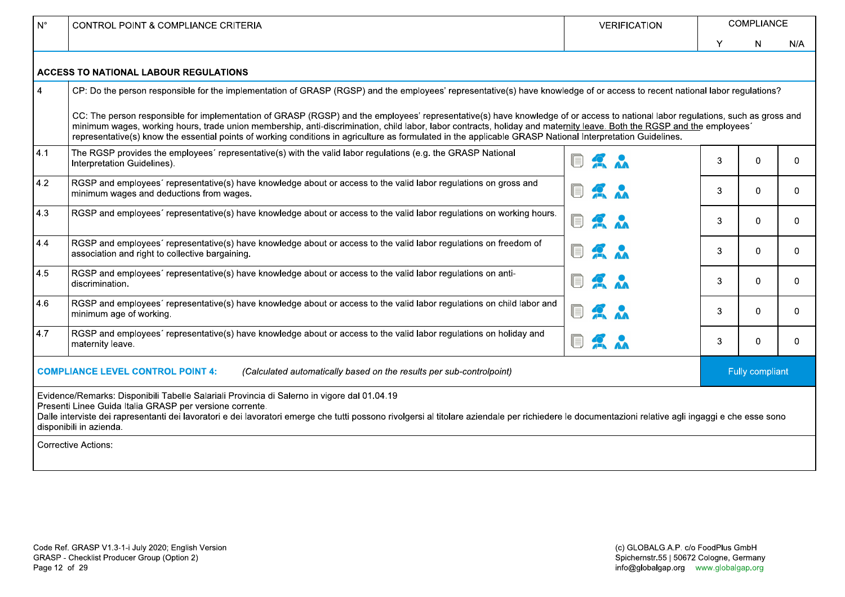| ∣ N°              | <b>CONTROL POINT &amp; COMPLIANCE CRITERIA</b>                                                                                                                                                                                                                                                                                                                                                                                                                                                                         | <b>VERIFICATION</b>              | <b>COMPLIANCE</b> |                 |     |  |
|-------------------|------------------------------------------------------------------------------------------------------------------------------------------------------------------------------------------------------------------------------------------------------------------------------------------------------------------------------------------------------------------------------------------------------------------------------------------------------------------------------------------------------------------------|----------------------------------|-------------------|-----------------|-----|--|
|                   |                                                                                                                                                                                                                                                                                                                                                                                                                                                                                                                        |                                  | Υ                 | N               | N/A |  |
|                   | <b>ACCESS TO NATIONAL LABOUR REGULATIONS</b>                                                                                                                                                                                                                                                                                                                                                                                                                                                                           |                                  |                   |                 |     |  |
| $\overline{4}$    | CP: Do the person responsible for the implementation of GRASP (RGSP) and the employees' representative(s) have knowledge of or access to recent national labor regulations?                                                                                                                                                                                                                                                                                                                                            |                                  |                   |                 |     |  |
|                   | CC: The person responsible for implementation of GRASP (RGSP) and the employees' representative(s) have knowledge of or access to national labor regulations, such as gross and<br>minimum wages, working hours, trade union membership, anti-discrimination, child labor, labor contracts, holiday and maternity leave. Both the RGSP and the employees<br>representative(s) know the essential points of working conditions in agriculture as formulated in the applicable GRASP National Interpretation Guidelines. |                                  |                   |                 |     |  |
| 4.1               | The RGSP provides the employees' representative(s) with the valid labor regulations (e.g. the GRASP National<br>Interpretation Guidelines).                                                                                                                                                                                                                                                                                                                                                                            | $\blacksquare$<br>2 <sup>o</sup> | 3                 | $\Omega$        | 0   |  |
| $ 4.2\rangle$     | RGSP and employees' representative(s) have knowledge about or access to the valid labor regulations on gross and<br>minimum wages and deductions from wages.                                                                                                                                                                                                                                                                                                                                                           | $\mathbf{R}$ $\mathbf{A}$<br>II. | 3                 | $\Omega$        | 0   |  |
| 4.3               | RGSP and employees' representative(s) have knowledge about or access to the valid labor regulations on working hours.                                                                                                                                                                                                                                                                                                                                                                                                  | Q<br>$\mathbf{R}$                | 3                 | $\Omega$        | 0   |  |
| $\vert 4.4 \vert$ | RGSP and employees' representative(s) have knowledge about or access to the valid labor regulations on freedom of<br>association and right to collective bargaining.                                                                                                                                                                                                                                                                                                                                                   | $\mathbf{R}$<br>II               | 3                 | $\Omega$        | 0   |  |
| 4.5               | RGSP and employees' representative(s) have knowledge about or access to the valid labor regulations on anti-<br>discrimination.                                                                                                                                                                                                                                                                                                                                                                                        | Q<br>2 <sub>n</sub>              | 3                 | 0               | 0   |  |
| 4.6               | RGSP and employees' representative(s) have knowledge about or access to the valid labor regulations on child labor and<br>minimum age of working.                                                                                                                                                                                                                                                                                                                                                                      | Q<br>2 <sub>n</sub>              | 3                 | $\Omega$        | 0   |  |
| 4.7               | RGSP and employees' representative(s) have knowledge about or access to the valid labor regulations on holiday and<br>maternity leave.                                                                                                                                                                                                                                                                                                                                                                                 | Q<br>2 <sub>n</sub>              | 3                 | $\mathbf 0$     | 0   |  |
|                   | <b>COMPLIANCE LEVEL CONTROL POINT 4:</b><br>(Calculated automatically based on the results per sub-controlpoint)                                                                                                                                                                                                                                                                                                                                                                                                       |                                  |                   | Fully compliant |     |  |
|                   | Evidence/Remarks: Disponibili Tabelle Salariali Provincia di Salerno in vigore dal 01.04.19<br>Presenti Linee Guida Italia GRASP per versione corrente.<br>Dalle interviste dei rapresentanti dei lavoratori e dei lavoratori emerge che tutti possono rivolgersi al titolare aziendale per richiedere le documentazioni relative agli ingaggi e che esse sono<br>disponibili in azienda.                                                                                                                              |                                  |                   |                 |     |  |
|                   | <b>Corrective Actions:</b>                                                                                                                                                                                                                                                                                                                                                                                                                                                                                             |                                  |                   |                 |     |  |
|                   |                                                                                                                                                                                                                                                                                                                                                                                                                                                                                                                        |                                  |                   |                 |     |  |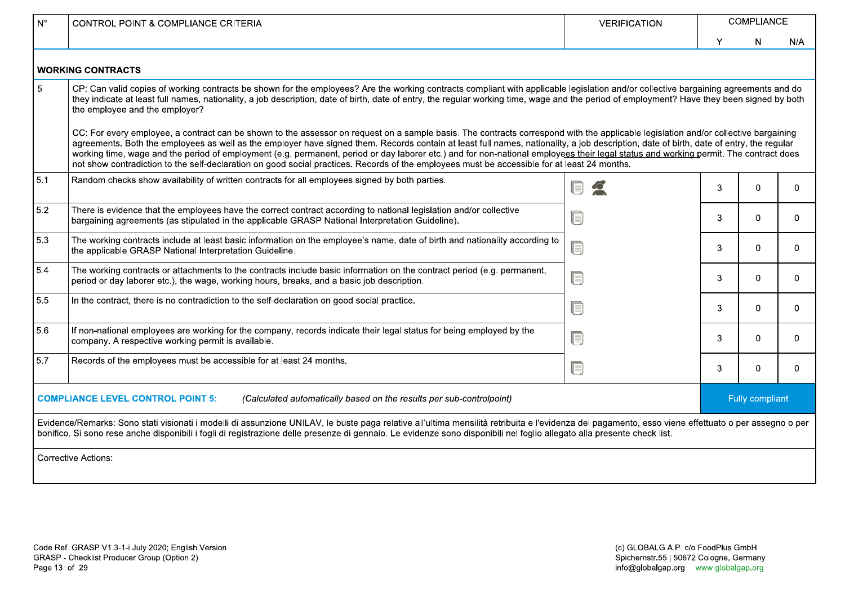| $N^{\circ}$ | <b>CONTROL POINT &amp; COMPLIANCE CRITERIA</b>                                                                                                                                                                                                                                                                                                                                                                                                                                                                                                                                                                                                                                                                         | <b>VERIFICATION</b> |   | COMPLIANCE      |          |
|-------------|------------------------------------------------------------------------------------------------------------------------------------------------------------------------------------------------------------------------------------------------------------------------------------------------------------------------------------------------------------------------------------------------------------------------------------------------------------------------------------------------------------------------------------------------------------------------------------------------------------------------------------------------------------------------------------------------------------------------|---------------------|---|-----------------|----------|
|             |                                                                                                                                                                                                                                                                                                                                                                                                                                                                                                                                                                                                                                                                                                                        |                     | Υ | N               | N/A      |
|             | <b>WORKING CONTRACTS</b>                                                                                                                                                                                                                                                                                                                                                                                                                                                                                                                                                                                                                                                                                               |                     |   |                 |          |
| 5           | CP: Can valid copies of working contracts be shown for the employees? Are the working contracts compliant with applicable legislation and/or collective bargaining agreements and do<br>they indicate at least full names, nationality, a job description, date of birth, date of entry, the regular working time, wage and the period of employment? Have they been signed by both<br>the employee and the employer?                                                                                                                                                                                                                                                                                                  |                     |   |                 |          |
|             | CC: For every employee, a contract can be shown to the assessor on request on a sample basis. The contracts correspond with the applicable legislation and/or collective bargaining<br>agreements. Both the employees as well as the employer have signed them. Records contain at least full names, nationality, a job description, date of birth, date of entry, the regular<br>working time, wage and the period of employment (e.g. permanent, period or day laborer etc.) and for non-national employees their legal status and working permit. The contract does<br>not show contradiction to the self-declaration on good social practices. Records of the employees must be accessible for at least 24 months. |                     |   |                 |          |
| 5.1         | Random checks show availability of written contracts for all employees signed by both parties.                                                                                                                                                                                                                                                                                                                                                                                                                                                                                                                                                                                                                         |                     | 3 | $\Omega$        | $\Omega$ |
| 5.2         | There is evidence that the employees have the correct contract according to national legislation and/or collective<br>bargaining agreements (as stipulated in the applicable GRASP National Interpretation Guideline).                                                                                                                                                                                                                                                                                                                                                                                                                                                                                                 |                     | 3 | 0               | $\Omega$ |
| 5.3         | The working contracts include at least basic information on the employee's name, date of birth and nationality according to<br>the applicable GRASP National Interpretation Guideline.                                                                                                                                                                                                                                                                                                                                                                                                                                                                                                                                 | E                   | 3 | 0               | $\Omega$ |
| 5.4         | The working contracts or attachments to the contracts include basic information on the contract period (e.g. permanent,<br>period or day laborer etc.), the wage, working hours, breaks, and a basic job description.                                                                                                                                                                                                                                                                                                                                                                                                                                                                                                  | ſ                   | 3 | $\Omega$        | $\Omega$ |
| 5.5         | In the contract, there is no contradiction to the self-declaration on good social practice.                                                                                                                                                                                                                                                                                                                                                                                                                                                                                                                                                                                                                            | UE.                 | 3 | 0               | $\Omega$ |
| 5.6         | If non-national employees are working for the company, records indicate their legal status for being employed by the<br>company. A respective working permit is available.                                                                                                                                                                                                                                                                                                                                                                                                                                                                                                                                             | ſ                   | 3 | 0               | $\Omega$ |
| 5.7         | Records of the employees must be accessible for at least 24 months.                                                                                                                                                                                                                                                                                                                                                                                                                                                                                                                                                                                                                                                    | UI.                 | 3 | 0               | $\Omega$ |
|             | <b>COMPLIANCE LEVEL CONTROL POINT 5:</b><br>(Calculated automatically based on the results per sub-controlpoint)                                                                                                                                                                                                                                                                                                                                                                                                                                                                                                                                                                                                       |                     |   | Fully compliant |          |
|             | Evidence/Remarks: Sono stati visionati i modelli di assunzione UNILAV, le buste paga relative all'ultima mensilità retribuita e l'evidenza del pagamento, esso viene effettuato o per assegno o per<br>bonifico. Si sono rese anche disponibili i fogli di registrazione delle presenze di gennaio. Le evidenze sono disponibili nel foglio allegato alla presente check list.                                                                                                                                                                                                                                                                                                                                         |                     |   |                 |          |
|             | <b>Corrective Actions:</b>                                                                                                                                                                                                                                                                                                                                                                                                                                                                                                                                                                                                                                                                                             |                     |   |                 |          |
|             |                                                                                                                                                                                                                                                                                                                                                                                                                                                                                                                                                                                                                                                                                                                        |                     |   |                 |          |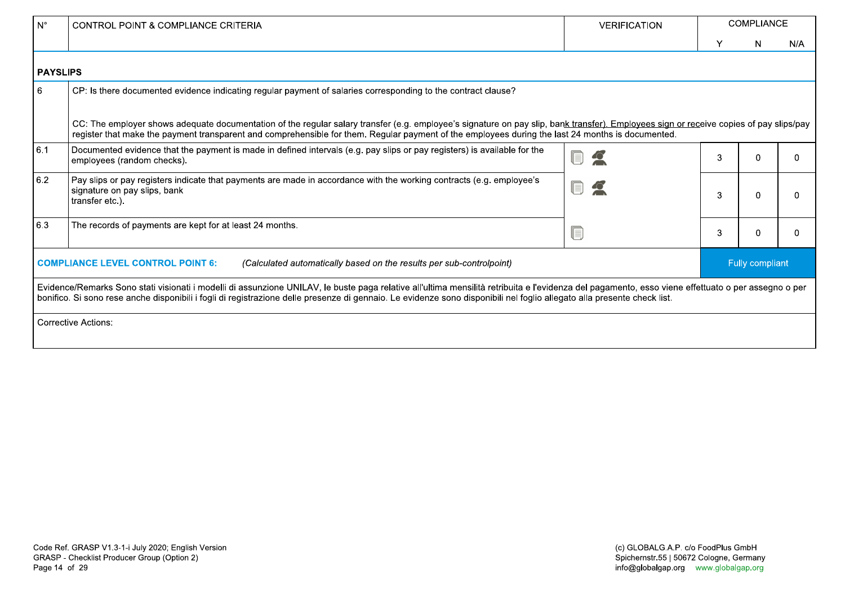| l N°                                                                                                             | <b>CONTROL POINT &amp; COMPLIANCE CRITERIA</b>                                                                                                                                                                                                                                                                                                                                | <b>VERIFICATION</b> | <b>COMPLIANCE</b> |    |                 |  |  |
|------------------------------------------------------------------------------------------------------------------|-------------------------------------------------------------------------------------------------------------------------------------------------------------------------------------------------------------------------------------------------------------------------------------------------------------------------------------------------------------------------------|---------------------|-------------------|----|-----------------|--|--|
|                                                                                                                  |                                                                                                                                                                                                                                                                                                                                                                               |                     | Y                 | N. | N/A             |  |  |
| <b>PAYSLIPS</b>                                                                                                  |                                                                                                                                                                                                                                                                                                                                                                               |                     |                   |    |                 |  |  |
| 6                                                                                                                | CP: Is there documented evidence indicating regular payment of salaries corresponding to the contract clause?                                                                                                                                                                                                                                                                 |                     |                   |    |                 |  |  |
|                                                                                                                  | CC: The employer shows adequate documentation of the regular salary transfer (e.g. employee's signature on pay slip, bank transfer). Employees sign or receive copies of pay slips/pay<br>register that make the payment transparent and comprehensible for them. Regular payment of the employees during the last 24 months is documented.                                   |                     |                   |    |                 |  |  |
| 6.1                                                                                                              | Documented evidence that the payment is made in defined intervals (e.g. pay slips or pay registers) is available for the<br>employees (random checks).                                                                                                                                                                                                                        |                     |                   |    | 0               |  |  |
| 6.2                                                                                                              | Pay slips or pay registers indicate that payments are made in accordance with the working contracts (e.g. employee's<br>signature on pay slips, bank<br>transfer etc.).                                                                                                                                                                                                       |                     |                   |    | 0               |  |  |
| 6.3                                                                                                              | The records of payments are kept for at least 24 months.                                                                                                                                                                                                                                                                                                                      |                     |                   |    | 0               |  |  |
| <b>COMPLIANCE LEVEL CONTROL POINT 6:</b><br>(Calculated automatically based on the results per sub-controlpoint) |                                                                                                                                                                                                                                                                                                                                                                               |                     |                   |    | Fully compliant |  |  |
|                                                                                                                  | Evidence/Remarks Sono stati visionati i modelli di assunzione UNILAV, le buste paga relative all'ultima mensilità retribuita e l'evidenza del pagamento, esso viene effettuato o per assegno o per<br>bonifico. Si sono rese anche disponibili i fogli di registrazione delle presenze di gennaio. Le evidenze sono disponibili nel foglio allegato alla presente check list. |                     |                   |    |                 |  |  |
|                                                                                                                  | Corrective Actions:                                                                                                                                                                                                                                                                                                                                                           |                     |                   |    |                 |  |  |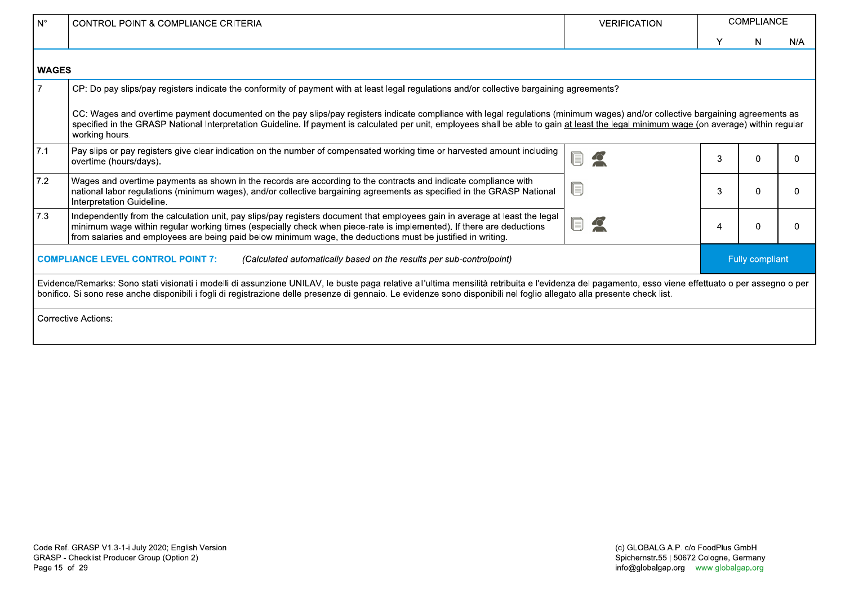| $N^{\circ}$                                                                                                      | <b>CONTROL POINT &amp; COMPLIANCE CRITERIA</b>                                                                                                                                                                                                                                                                                                                                               | <b>VERIFICATION</b> | <b>COMPLIANCE</b> |    |                 |
|------------------------------------------------------------------------------------------------------------------|----------------------------------------------------------------------------------------------------------------------------------------------------------------------------------------------------------------------------------------------------------------------------------------------------------------------------------------------------------------------------------------------|---------------------|-------------------|----|-----------------|
|                                                                                                                  |                                                                                                                                                                                                                                                                                                                                                                                              |                     | Υ                 | N. | N/A             |
| <b>WAGES</b>                                                                                                     |                                                                                                                                                                                                                                                                                                                                                                                              |                     |                   |    |                 |
|                                                                                                                  | CP: Do pay slips/pay registers indicate the conformity of payment with at least legal regulations and/or collective bargaining agreements?                                                                                                                                                                                                                                                   |                     |                   |    |                 |
|                                                                                                                  | CC: Wages and overtime payment documented on the pay slips/pay registers indicate compliance with legal regulations (minimum wages) and/or collective bargaining agreements as<br>specified in the GRASP National Interpretation Guideline. If payment is calculated per unit, employees shall be able to gain at least the legal minimum wage (on average) within regular<br>working hours. |                     |                   |    |                 |
| 7.1                                                                                                              | Pay slips or pay registers give clear indication on the number of compensated working time or harvested amount including<br>overtime (hours/days).                                                                                                                                                                                                                                           |                     | 3                 |    | 0               |
| 7.2                                                                                                              | Wages and overtime payments as shown in the records are according to the contracts and indicate compliance with<br>national labor regulations (minimum wages), and/or collective bargaining agreements as specified in the GRASP National<br>Interpretation Guideline.                                                                                                                       |                     | 3                 |    | 0               |
| 7.3                                                                                                              | Independently from the calculation unit, pay slips/pay registers document that employees gain in average at least the legal<br>minimum wage within regular working times (especially check when piece-rate is implemented). If there are deductions<br>from salaries and employees are being paid below minimum wage, the deductions must be justified in writing.                           |                     |                   |    | 0               |
| <b>COMPLIANCE LEVEL CONTROL POINT 7:</b><br>(Calculated automatically based on the results per sub-controlpoint) |                                                                                                                                                                                                                                                                                                                                                                                              |                     |                   |    | Fully compliant |
|                                                                                                                  | Evidence/Remarks: Sono stati visionati i modelli di assunzione UNILAV, le buste paga relative all'ultima mensilità retribuita e l'evidenza del pagamento, esso viene effettuato o per assegno o per<br>bonifico. Si sono rese anche disponibili i fogli di registrazione delle presenze di gennaio. Le evidenze sono disponibili nel foglio allegato alla presente check list.               |                     |                   |    |                 |
|                                                                                                                  | <b>Corrective Actions:</b>                                                                                                                                                                                                                                                                                                                                                                   |                     |                   |    |                 |
|                                                                                                                  |                                                                                                                                                                                                                                                                                                                                                                                              |                     |                   |    |                 |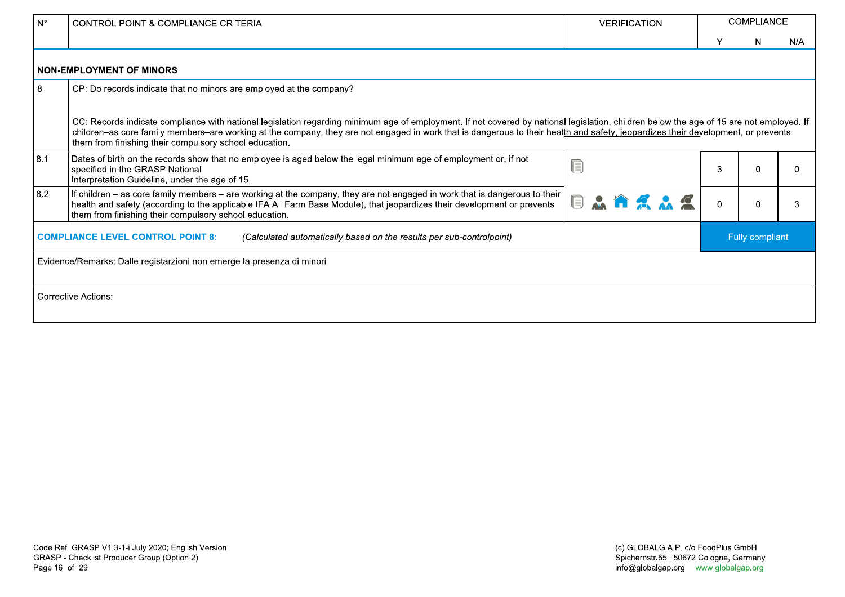| $N^{\circ}$                                                                                                      | <b>CONTROL POINT &amp; COMPLIANCE CRITERIA</b>                                                                                                                                                                                                                                                                                                                                                                                          | <b>VERIFICATION</b> | <b>COMPLIANCE</b> |   |                 |  |  |
|------------------------------------------------------------------------------------------------------------------|-----------------------------------------------------------------------------------------------------------------------------------------------------------------------------------------------------------------------------------------------------------------------------------------------------------------------------------------------------------------------------------------------------------------------------------------|---------------------|-------------------|---|-----------------|--|--|
|                                                                                                                  |                                                                                                                                                                                                                                                                                                                                                                                                                                         |                     |                   | N | N/A             |  |  |
|                                                                                                                  | <b>NON-EMPLOYMENT OF MINORS</b>                                                                                                                                                                                                                                                                                                                                                                                                         |                     |                   |   |                 |  |  |
| 8                                                                                                                | CP: Do records indicate that no minors are employed at the company?                                                                                                                                                                                                                                                                                                                                                                     |                     |                   |   |                 |  |  |
|                                                                                                                  | CC: Records indicate compliance with national legislation regarding minimum age of employment. If not covered by national legislation, children below the age of 15 are not employed. If<br>children-as core family members-are working at the company, they are not engaged in work that is dangerous to their health and safety, jeopardizes their development, or prevents<br>them from finishing their compulsory school education. |                     |                   |   |                 |  |  |
| 8.1                                                                                                              | Dates of birth on the records show that no employee is aged below the legal minimum age of employment or, if not<br>specified in the GRASP National<br>Interpretation Guideline, under the age of 15.                                                                                                                                                                                                                                   |                     |                   | O | <sup>0</sup>    |  |  |
| 8.2                                                                                                              | If children – as core family members – are working at the company, they are not engaged in work that is dangerous to their<br>$\mathbf{A}$<br>health and safety (according to the applicable IFA All Farm Base Module), that jeopardizes their development or prevents<br>them from finishing their compulsory school education.                                                                                                        |                     |                   |   | 3               |  |  |
| <b>COMPLIANCE LEVEL CONTROL POINT 8:</b><br>(Calculated automatically based on the results per sub-controlpoint) |                                                                                                                                                                                                                                                                                                                                                                                                                                         |                     |                   |   | Fully compliant |  |  |
|                                                                                                                  | Evidence/Remarks: Dalle registarzioni non emerge la presenza di minori                                                                                                                                                                                                                                                                                                                                                                  |                     |                   |   |                 |  |  |
|                                                                                                                  | <b>Corrective Actions:</b>                                                                                                                                                                                                                                                                                                                                                                                                              |                     |                   |   |                 |  |  |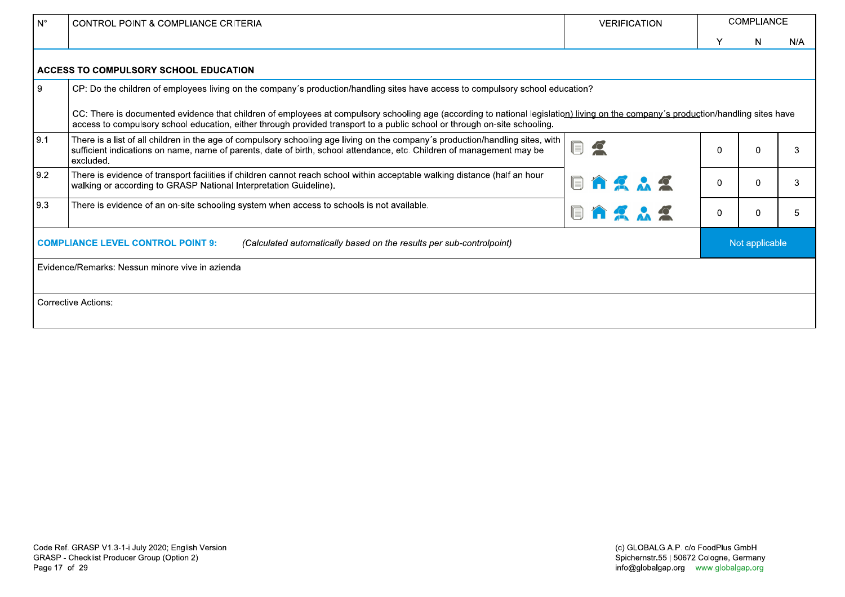| $N^{\circ}$ | CONTROL POINT & COMPLIANCE CRITERIA                                                                                                                                                                                                                                                                                     | <b>VERIFICATION</b>                                                                                                                                                                |             | COMPLIANCE     |     |
|-------------|-------------------------------------------------------------------------------------------------------------------------------------------------------------------------------------------------------------------------------------------------------------------------------------------------------------------------|------------------------------------------------------------------------------------------------------------------------------------------------------------------------------------|-------------|----------------|-----|
|             |                                                                                                                                                                                                                                                                                                                         |                                                                                                                                                                                    |             | N.             | N/A |
|             | ACCESS TO COMPULSORY SCHOOL EDUCATION                                                                                                                                                                                                                                                                                   |                                                                                                                                                                                    |             |                |     |
| 9           | CP: Do the children of employees living on the company's production/handling sites have access to compulsory school education?                                                                                                                                                                                          |                                                                                                                                                                                    |             |                |     |
|             | access to compulsory school education, either through provided transport to a public school or through on-site schooling.                                                                                                                                                                                               | CC: There is documented evidence that children of employees at compulsory schooling age (according to national legislation) living on the company's production/handling sites have |             |                |     |
| 9.1         | There is a list of all children in the age of compulsory schooling age living on the company's production/handling sites, with<br>$\textcolor{red}{\blacksquare}$<br>$\mathbf{C}$<br>sufficient indications on name, name of parents, date of birth, school attendance, etc. Children of management may be<br>excluded. |                                                                                                                                                                                    |             |                | 3   |
| 9.2         | There is evidence of transport facilities if children cannot reach school within acceptable walking distance (half an hour<br>walking or according to GRASP National Interpretation Guideline).                                                                                                                         |                                                                                                                                                                                    |             | $\mathbf{0}$   | 3   |
| 9.3         | There is evidence of an on-site schooling system when access to schools is not available.                                                                                                                                                                                                                               | Q                                                                                                                                                                                  | $\mathbf 0$ | $\overline{0}$ | 5   |
|             | <b>COMPLIANCE LEVEL CONTROL POINT 9:</b><br>(Calculated automatically based on the results per sub-controlpoint)                                                                                                                                                                                                        |                                                                                                                                                                                    |             | Not applicable |     |
|             | Evidence/Remarks: Nessun minore vive in azienda                                                                                                                                                                                                                                                                         |                                                                                                                                                                                    |             |                |     |
|             |                                                                                                                                                                                                                                                                                                                         |                                                                                                                                                                                    |             |                |     |
|             | <b>Corrective Actions:</b>                                                                                                                                                                                                                                                                                              |                                                                                                                                                                                    |             |                |     |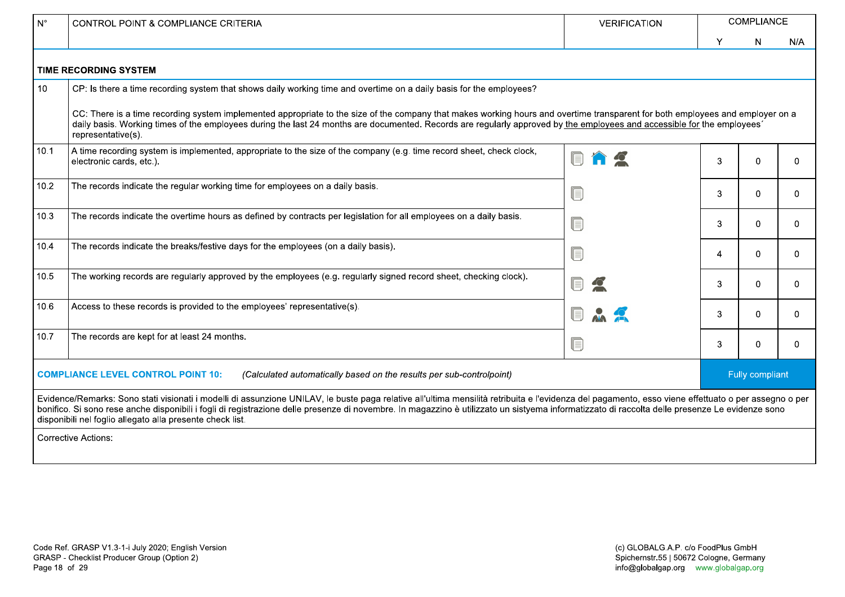| $N^{\circ}$                                                                                                       | CONTROL POINT & COMPLIANCE CRITERIA<br><b>VERIFICATION</b>                                                                                                                                                                                                                                                                                                                                                                                                         |   |   | <b>COMPLIANCE</b> |                 |  |  |
|-------------------------------------------------------------------------------------------------------------------|--------------------------------------------------------------------------------------------------------------------------------------------------------------------------------------------------------------------------------------------------------------------------------------------------------------------------------------------------------------------------------------------------------------------------------------------------------------------|---|---|-------------------|-----------------|--|--|
|                                                                                                                   |                                                                                                                                                                                                                                                                                                                                                                                                                                                                    |   | Y | N                 | N/A             |  |  |
|                                                                                                                   | <b>TIME RECORDING SYSTEM</b>                                                                                                                                                                                                                                                                                                                                                                                                                                       |   |   |                   |                 |  |  |
| 10 <sup>°</sup>                                                                                                   | CP: Is there a time recording system that shows daily working time and overtime on a daily basis for the employees?                                                                                                                                                                                                                                                                                                                                                |   |   |                   |                 |  |  |
|                                                                                                                   | CC: There is a time recording system implemented appropriate to the size of the company that makes working hours and overtime transparent for both employees and employer on a<br>daily basis. Working times of the employees during the last 24 months are documented. Records are regularly approved by the employees and accessible for the employees'<br>representative(s).                                                                                    |   |   |                   |                 |  |  |
| 10.1                                                                                                              | A time recording system is implemented, appropriate to the size of the company (e.g. time record sheet, check clock,<br>electronic cards, etc.).                                                                                                                                                                                                                                                                                                                   |   |   |                   | 0               |  |  |
| 10.2                                                                                                              | The records indicate the regular working time for employees on a daily basis.<br>U                                                                                                                                                                                                                                                                                                                                                                                 |   |   |                   | 0               |  |  |
| 10.3                                                                                                              | The records indicate the overtime hours as defined by contracts per legislation for all employees on a daily basis.                                                                                                                                                                                                                                                                                                                                                |   | 3 | $\Omega$          | 0               |  |  |
| 10.4                                                                                                              | The records indicate the breaks/festive days for the employees (on a daily basis).<br>F                                                                                                                                                                                                                                                                                                                                                                            |   | 4 | 0                 | $\Omega$        |  |  |
| 10.5                                                                                                              | The working records are regularly approved by the employees (e.g. regularly signed record sheet, checking clock).                                                                                                                                                                                                                                                                                                                                                  |   | 3 | 0                 | 0               |  |  |
| 10.6                                                                                                              | Access to these records is provided to the employees' representative(s).                                                                                                                                                                                                                                                                                                                                                                                           |   | 3 | $\Omega$          | 0               |  |  |
| 10.7                                                                                                              | The records are kept for at least 24 months.                                                                                                                                                                                                                                                                                                                                                                                                                       | U | 3 | 0                 | $\mathbf{0}$    |  |  |
| <b>COMPLIANCE LEVEL CONTROL POINT 10:</b><br>(Calculated automatically based on the results per sub-controlpoint) |                                                                                                                                                                                                                                                                                                                                                                                                                                                                    |   |   |                   | Fully compliant |  |  |
|                                                                                                                   | Evidence/Remarks: Sono stati visionati i modelli di assunzione UNILAV, le buste paga relative all'ultima mensilità retribuita e l'evidenza del pagamento, esso viene effettuato o per assegno o per<br>bonifico. Si sono rese anche disponibili i fogli di registrazione delle presenze di novembre. In magazzino è utilizzato un sistyema informatizzato di raccolta delle presenze Le evidenze sono<br>disponibili nel foglio allegato alla presente check list. |   |   |                   |                 |  |  |
|                                                                                                                   | <b>Corrective Actions:</b>                                                                                                                                                                                                                                                                                                                                                                                                                                         |   |   |                   |                 |  |  |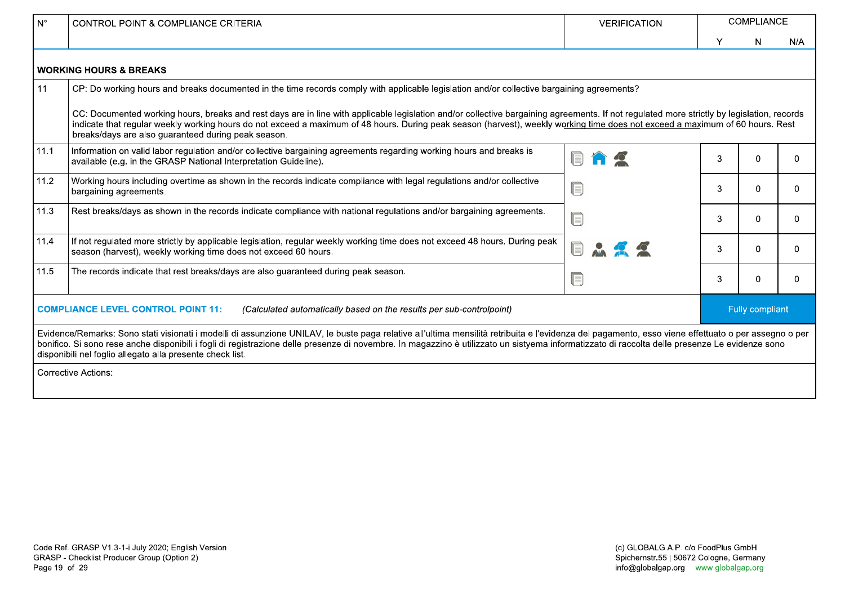| $N^{\circ}$                                                                                                       | <b>CONTROL POINT &amp; COMPLIANCE CRITERIA</b>                                                                                                                                                                                                                                                                                                                                                                                                                     | <b>VERIFICATION</b> | <b>COMPLIANCE</b> |   |                 |  |  |  |
|-------------------------------------------------------------------------------------------------------------------|--------------------------------------------------------------------------------------------------------------------------------------------------------------------------------------------------------------------------------------------------------------------------------------------------------------------------------------------------------------------------------------------------------------------------------------------------------------------|---------------------|-------------------|---|-----------------|--|--|--|
|                                                                                                                   |                                                                                                                                                                                                                                                                                                                                                                                                                                                                    |                     |                   | N | N/A             |  |  |  |
|                                                                                                                   | <b>WORKING HOURS &amp; BREAKS</b>                                                                                                                                                                                                                                                                                                                                                                                                                                  |                     |                   |   |                 |  |  |  |
| 11                                                                                                                | CP: Do working hours and breaks documented in the time records comply with applicable legislation and/or collective bargaining agreements?                                                                                                                                                                                                                                                                                                                         |                     |                   |   |                 |  |  |  |
|                                                                                                                   | CC: Documented working hours, breaks and rest days are in line with applicable legislation and/or collective bargaining agreements. If not regulated more strictly by legislation, records<br>indicate that regular weekly working hours do not exceed a maximum of 48 hours. During peak season (harvest), weekly working time does not exceed a maximum of 60 hours. Rest<br>breaks/days are also guaranteed during peak season.                                 |                     |                   |   |                 |  |  |  |
| 11.1                                                                                                              | Information on valid labor regulation and/or collective bargaining agreements regarding working hours and breaks is<br>available (e.g. in the GRASP National Interpretation Guideline).                                                                                                                                                                                                                                                                            |                     |                   |   | $\Omega$        |  |  |  |
| 11.2                                                                                                              | Working hours including overtime as shown in the records indicate compliance with legal regulations and/or collective<br>bargaining agreements.                                                                                                                                                                                                                                                                                                                    |                     |                   |   | 0               |  |  |  |
| 11.3                                                                                                              | Rest breaks/days as shown in the records indicate compliance with national regulations and/or bargaining agreements.                                                                                                                                                                                                                                                                                                                                               |                     |                   |   | 0               |  |  |  |
| 11.4                                                                                                              | If not regulated more strictly by applicable legislation, regular weekly working time does not exceed 48 hours. During peak<br>season (harvest), weekly working time does not exceed 60 hours.                                                                                                                                                                                                                                                                     |                     |                   |   | 0               |  |  |  |
| 11.5                                                                                                              | The records indicate that rest breaks/days are also guaranteed during peak season.                                                                                                                                                                                                                                                                                                                                                                                 |                     |                   |   | 0               |  |  |  |
| <b>COMPLIANCE LEVEL CONTROL POINT 11:</b><br>(Calculated automatically based on the results per sub-controlpoint) |                                                                                                                                                                                                                                                                                                                                                                                                                                                                    |                     |                   |   | Fully compliant |  |  |  |
|                                                                                                                   | Evidence/Remarks: Sono stati visionati i modelli di assunzione UNILAV, le buste paga relative all'ultima mensilità retribuita e l'evidenza del pagamento, esso viene effettuato o per assegno o per<br>bonifico. Si sono rese anche disponibili i fogli di registrazione delle presenze di novembre. In magazzino è utilizzato un sistyema informatizzato di raccolta delle presenze Le evidenze sono<br>disponibili nel foglio allegato alla presente check list. |                     |                   |   |                 |  |  |  |
|                                                                                                                   | <b>Corrective Actions:</b>                                                                                                                                                                                                                                                                                                                                                                                                                                         |                     |                   |   |                 |  |  |  |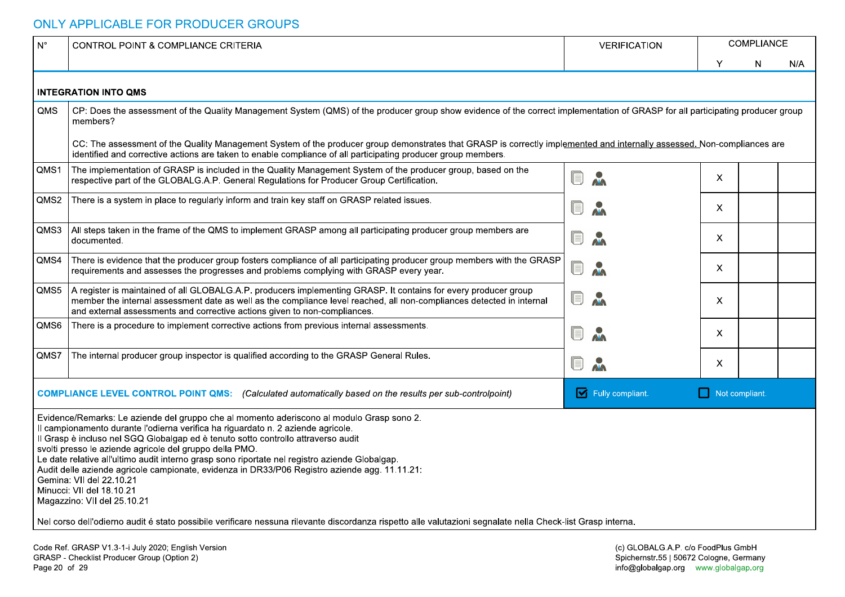|      | CONTROL POINT & COMPLIANCE CRITERIA                                                                                                                                                                                                                                                                                                                                                                                                                                                                                                                                                                                      | <b>VERIFICATION</b>                                                           |                | <b>COMPLIANCE</b> |     |
|------|--------------------------------------------------------------------------------------------------------------------------------------------------------------------------------------------------------------------------------------------------------------------------------------------------------------------------------------------------------------------------------------------------------------------------------------------------------------------------------------------------------------------------------------------------------------------------------------------------------------------------|-------------------------------------------------------------------------------|----------------|-------------------|-----|
|      |                                                                                                                                                                                                                                                                                                                                                                                                                                                                                                                                                                                                                          |                                                                               |                | N                 | N/A |
|      | <b>INTEGRATION INTO QMS</b>                                                                                                                                                                                                                                                                                                                                                                                                                                                                                                                                                                                              |                                                                               |                |                   |     |
| QMS  | CP: Does the assessment of the Quality Management System (QMS) of the producer group show evidence of the correct implementation of GRASP for all participating producer group<br>members?                                                                                                                                                                                                                                                                                                                                                                                                                               |                                                                               |                |                   |     |
|      | CC: The assessment of the Quality Management System of the producer group demonstrates that GRASP is correctly implemented and internally assessed. Non-compliances are<br>identified and corrective actions are taken to enable compliance of all participating producer group members.                                                                                                                                                                                                                                                                                                                                 |                                                                               |                |                   |     |
| QMS1 | The implementation of GRASP is included in the Quality Management System of the producer group, based on the<br>respective part of the GLOBALG.A.P. General Regulations for Producer Group Certification.                                                                                                                                                                                                                                                                                                                                                                                                                | Q<br>$\lambda$                                                                | $\mathsf{X}$   |                   |     |
| QMS2 | There is a system in place to regularly inform and train key staff on GRASP related issues.                                                                                                                                                                                                                                                                                                                                                                                                                                                                                                                              | $\textcolor{red}{\blacksquare}$<br>$\mathbf{v}$                               | $\mathsf{X}$   |                   |     |
| QMS3 | All steps taken in the frame of the QMS to implement GRASP among all participating producer group members are<br>documented.                                                                                                                                                                                                                                                                                                                                                                                                                                                                                             | O<br>$\mathbf{v}$                                                             | X.             |                   |     |
| QMS4 | There is evidence that the producer group fosters compliance of all participating producer group members with the GRASP<br>requirements and assesses the progresses and problems complying with GRASP every year.                                                                                                                                                                                                                                                                                                                                                                                                        | O M                                                                           | $\mathsf{X}$   |                   |     |
| QMS5 | A register is maintained of all GLOBALG.A.P. producers implementing GRASP. It contains for every producer group<br>member the internal assessment date as well as the compliance level reached, all non-compliances detected in internal<br>and external assessments and corrective actions given to non-compliances.                                                                                                                                                                                                                                                                                                    | O M                                                                           | X              |                   |     |
| QMS6 | There is a procedure to implement corrective actions from previous internal assessments.                                                                                                                                                                                                                                                                                                                                                                                                                                                                                                                                 | Uij                                                                           | X.             |                   |     |
|      | QMS7   The internal producer group inspector is qualified according to the GRASP General Rules.                                                                                                                                                                                                                                                                                                                                                                                                                                                                                                                          | M<br>U                                                                        | X.             |                   |     |
|      | <b>COMPLIANCE LEVEL CONTROL POINT QMS:</b> (Calculated automatically based on the results per sub-controlpoint)                                                                                                                                                                                                                                                                                                                                                                                                                                                                                                          | <b>V</b> Fully compliant.                                                     | Not compliant. |                   |     |
|      | Evidence/Remarks: Le aziende del gruppo che al momento aderiscono al modulo Grasp sono 2.<br>Il campionamento durante l'odierna verifica ha riguardato n. 2 aziende agricole.<br>Il Grasp è incluso nel SGQ Globalgap ed è tenuto sotto controllo attraverso audit<br>svolti presso le aziende agricole del gruppo della PMO.<br>Le date relative all'ultimo audit interno grasp sono riportate nel registro aziende Globalgap.<br>Audit delle aziende agricole campionate, evidenza in DR33/P06 Registro aziende agg. 11.11.21:<br>Gemina: VII del 22.10.21<br>Minucci: VII del 18.10.21<br>Magazzino: VII del 25.10.21 |                                                                               |                |                   |     |
|      | Nel corso dell'odierno audit é stato possibile verificare nessuna rilevante discordanza rispetto alle valutazioni segnalate nella Check-list Grasp interna.                                                                                                                                                                                                                                                                                                                                                                                                                                                              |                                                                               |                |                   |     |
|      | Code Ref. GRASP V1.3-1-i July 2020; English Version<br>GRASP - Checklist Producer Group (Option 2)                                                                                                                                                                                                                                                                                                                                                                                                                                                                                                                       | (c) GLOBALG.A.P. c/o FoodPlus GmbH<br>Spichernstr.55   50672 Cologne, Germany |                |                   |     |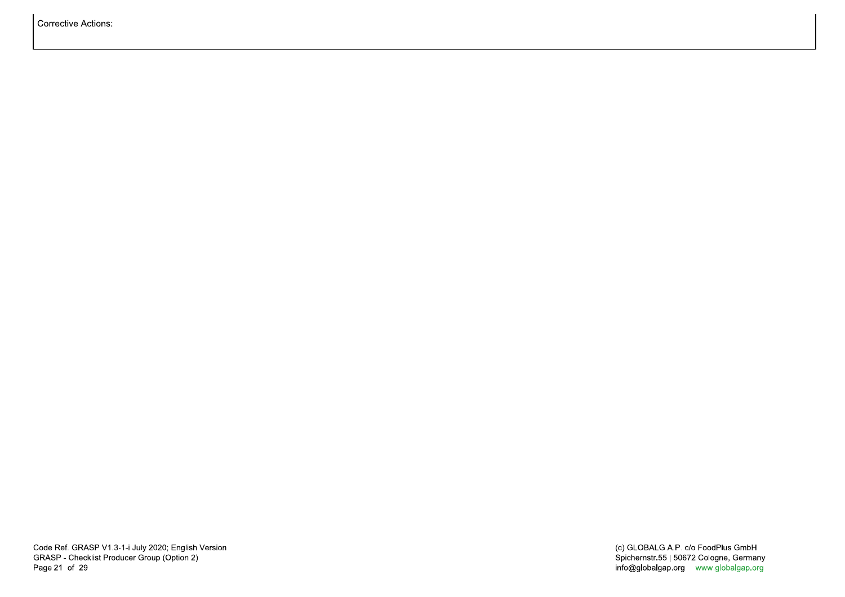Corrective Actions: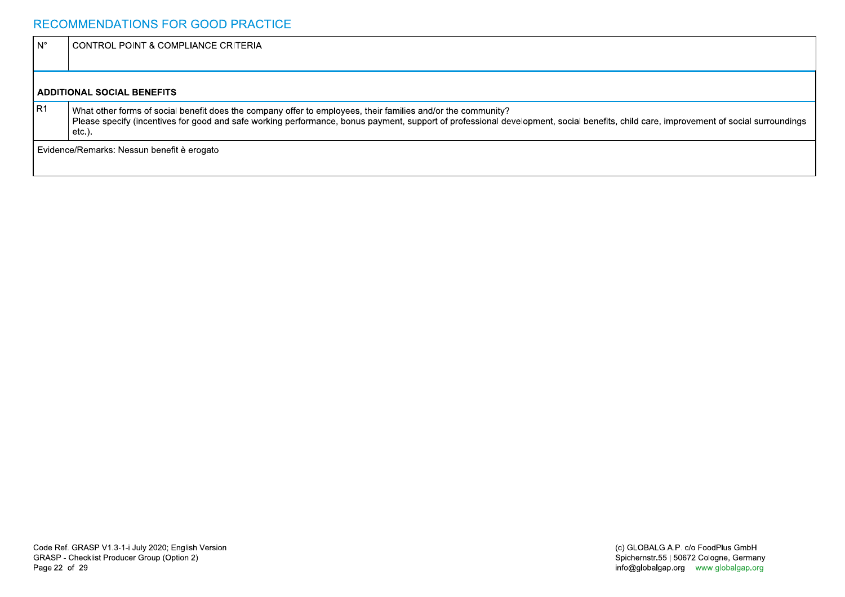### RECOMMENDATIONS FOR GOOD PRACTICE

| l N° | CONTROL POINT & COMPLIANCE CRITERIA                                                                                                                                                                                                                                                                                |
|------|--------------------------------------------------------------------------------------------------------------------------------------------------------------------------------------------------------------------------------------------------------------------------------------------------------------------|
|      |                                                                                                                                                                                                                                                                                                                    |
|      | I ADDITIONAL SOCIAL BENEFITS                                                                                                                                                                                                                                                                                       |
| IR1  | What other forms of social benefit does the company offer to employees, their families and/or the community?<br>Please specify (incentives for good and safe working performance, bonus payment, support of professional development, social benefits, child care, improvement of social surroundings<br>$etc.$ ). |
|      | I Evidence/Remarks: Nessun benefit è erogato                                                                                                                                                                                                                                                                       |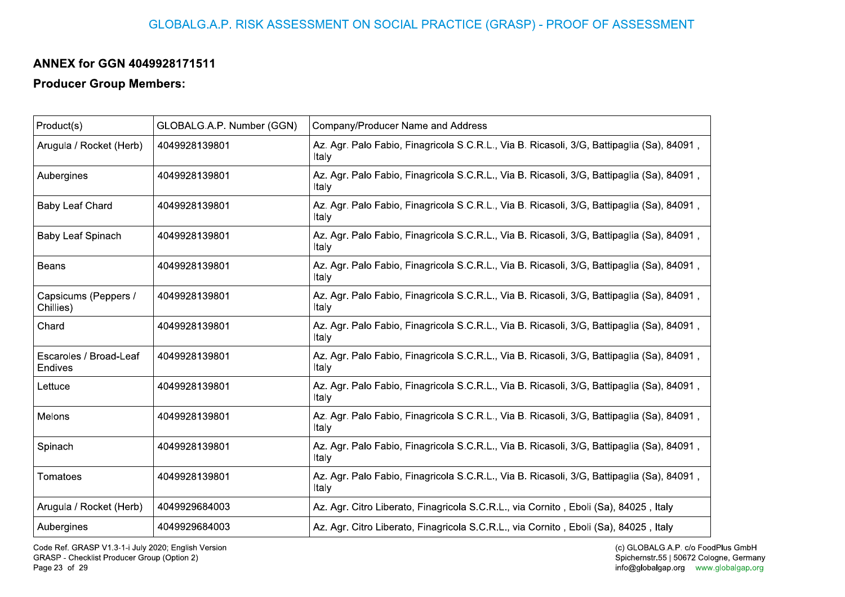## GLOBALG.A.P. RISK ASSESSMENT ON SOCIAL PRACTICE (GRASP) - PROOF OF ASSESSMENT

## ANNEX for GGN 4049928171511

### **Producer Group Members:**

| Product(s)                        | GLOBALG.A.P. Number (GGN) | Company/Producer Name and Address                                                                  |
|-----------------------------------|---------------------------|----------------------------------------------------------------------------------------------------|
| Arugula / Rocket (Herb)           | 4049928139801             | Az. Agr. Palo Fabio, Finagricola S.C.R.L., Via B. Ricasoli, 3/G, Battipaglia (Sa), 84091,<br>Italy |
| Aubergines                        | 4049928139801             | Az. Agr. Palo Fabio, Finagricola S.C.R.L., Via B. Ricasoli, 3/G, Battipaglia (Sa), 84091,<br>Italy |
| <b>Baby Leaf Chard</b>            | 4049928139801             | Az. Agr. Palo Fabio, Finagricola S.C.R.L., Via B. Ricasoli, 3/G, Battipaglia (Sa), 84091,<br>Italy |
| Baby Leaf Spinach                 | 4049928139801             | Az. Agr. Palo Fabio, Finagricola S.C.R.L., Via B. Ricasoli, 3/G, Battipaglia (Sa), 84091,<br>Italy |
| <b>Beans</b>                      | 4049928139801             | Az. Agr. Palo Fabio, Finagricola S.C.R.L., Via B. Ricasoli, 3/G, Battipaglia (Sa), 84091,<br>Italy |
| Capsicums (Peppers /<br>Chillies) | 4049928139801             | Az. Agr. Palo Fabio, Finagricola S.C.R.L., Via B. Ricasoli, 3/G, Battipaglia (Sa), 84091,<br>Italy |
| Chard                             | 4049928139801             | Az. Agr. Palo Fabio, Finagricola S.C.R.L., Via B. Ricasoli, 3/G, Battipaglia (Sa), 84091,<br>Italy |
| Escaroles / Broad-Leaf<br>Endives | 4049928139801             | Az. Agr. Palo Fabio, Finagricola S.C.R.L., Via B. Ricasoli, 3/G, Battipaglia (Sa), 84091,<br>Italy |
| Lettuce                           | 4049928139801             | Az. Agr. Palo Fabio, Finagricola S.C.R.L., Via B. Ricasoli, 3/G, Battipaglia (Sa), 84091,<br>Italy |
| Melons                            | 4049928139801             | Az. Agr. Palo Fabio, Finagricola S.C.R.L., Via B. Ricasoli, 3/G, Battipaglia (Sa), 84091,<br>Italy |
| Spinach                           | 4049928139801             | Az. Agr. Palo Fabio, Finagricola S.C.R.L., Via B. Ricasoli, 3/G, Battipaglia (Sa), 84091,<br>Italy |
| Tomatoes                          | 4049928139801             | Az. Agr. Palo Fabio, Finagricola S.C.R.L., Via B. Ricasoli, 3/G, Battipaglia (Sa), 84091,<br>Italy |
| Arugula / Rocket (Herb)           | 4049929684003             | Az. Agr. Citro Liberato, Finagricola S.C.R.L., via Cornito, Eboli (Sa), 84025, Italy               |
| Aubergines                        | 4049929684003             | Az. Agr. Citro Liberato, Finagricola S.C.R.L., via Cornito, Eboli (Sa), 84025, Italy               |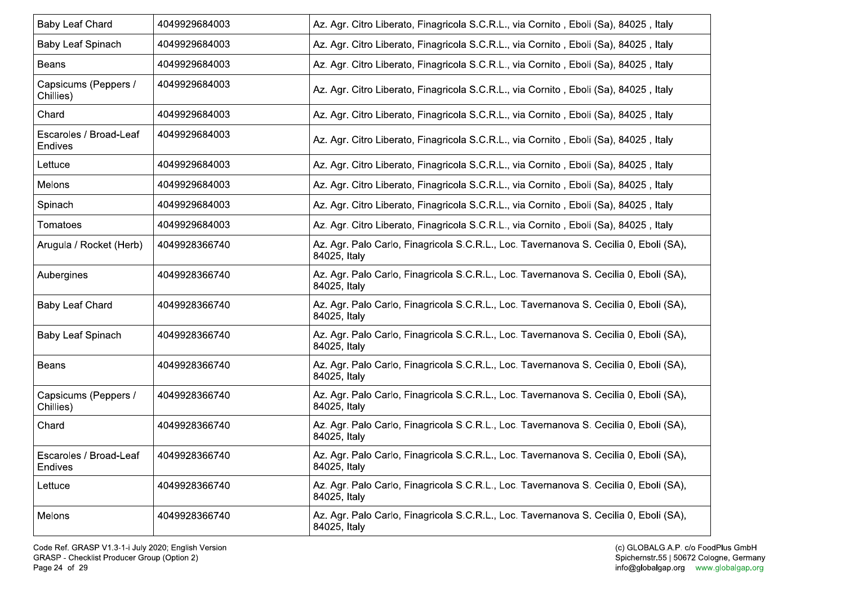| <b>Baby Leaf Chard</b>            | 4049929684003 | Az. Agr. Citro Liberato, Finagricola S.C.R.L., via Cornito, Eboli (Sa), 84025, Italy                  |
|-----------------------------------|---------------|-------------------------------------------------------------------------------------------------------|
| <b>Baby Leaf Spinach</b>          | 4049929684003 | Az. Agr. Citro Liberato, Finagricola S.C.R.L., via Cornito, Eboli (Sa), 84025, Italy                  |
| Beans                             | 4049929684003 | Az. Agr. Citro Liberato, Finagricola S.C.R.L., via Cornito, Eboli (Sa), 84025, Italy                  |
| Capsicums (Peppers /<br>Chillies) | 4049929684003 | Az. Agr. Citro Liberato, Finagricola S.C.R.L., via Cornito, Eboli (Sa), 84025, Italy                  |
| Chard                             | 4049929684003 | Az. Agr. Citro Liberato, Finagricola S.C.R.L., via Cornito, Eboli (Sa), 84025, Italy                  |
| Escaroles / Broad-Leaf<br>Endives | 4049929684003 | Az. Agr. Citro Liberato, Finagricola S.C.R.L., via Cornito, Eboli (Sa), 84025, Italy                  |
| Lettuce                           | 4049929684003 | Az. Agr. Citro Liberato, Finagricola S.C.R.L., via Cornito, Eboli (Sa), 84025, Italy                  |
| Melons                            | 4049929684003 | Az. Agr. Citro Liberato, Finagricola S.C.R.L., via Cornito, Eboli (Sa), 84025, Italy                  |
| Spinach                           | 4049929684003 | Az. Agr. Citro Liberato, Finagricola S.C.R.L., via Cornito, Eboli (Sa), 84025, Italy                  |
| Tomatoes                          | 4049929684003 | Az. Agr. Citro Liberato, Finagricola S.C.R.L., via Cornito, Eboli (Sa), 84025, Italy                  |
| Arugula / Rocket (Herb)           | 4049928366740 | Az. Agr. Palo Carlo, Finagricola S.C.R.L., Loc. Tavernanova S. Cecilia 0, Eboli (SA),<br>84025, Italy |
| Aubergines                        | 4049928366740 | Az. Agr. Palo Carlo, Finagricola S.C.R.L., Loc. Tavernanova S. Cecilia 0, Eboli (SA),<br>84025, Italy |
| <b>Baby Leaf Chard</b>            | 4049928366740 | Az. Agr. Palo Carlo, Finagricola S.C.R.L., Loc. Tavernanova S. Cecilia 0, Eboli (SA),<br>84025, Italy |
| <b>Baby Leaf Spinach</b>          | 4049928366740 | Az. Agr. Palo Carlo, Finagricola S.C.R.L., Loc. Tavernanova S. Cecilia 0, Eboli (SA),<br>84025, Italy |
| Beans                             | 4049928366740 | Az. Agr. Palo Carlo, Finagricola S.C.R.L., Loc. Tavernanova S. Cecilia 0, Eboli (SA),<br>84025, Italy |
| Capsicums (Peppers /<br>Chillies) | 4049928366740 | Az. Agr. Palo Carlo, Finagricola S.C.R.L., Loc. Tavernanova S. Cecilia 0, Eboli (SA),<br>84025, Italy |
| Chard                             | 4049928366740 | Az. Agr. Palo Carlo, Finagricola S.C.R.L., Loc. Tavernanova S. Cecilia 0, Eboli (SA),<br>84025, Italy |
| Escaroles / Broad-Leaf<br>Endives | 4049928366740 | Az. Agr. Palo Carlo, Finagricola S.C.R.L., Loc. Tavernanova S. Cecilia 0, Eboli (SA),<br>84025, Italy |
| Lettuce                           | 4049928366740 | Az. Agr. Palo Carlo, Finagricola S.C.R.L., Loc. Tavernanova S. Cecilia 0, Eboli (SA),<br>84025, Italy |
| Melons                            | 4049928366740 | Az. Agr. Palo Carlo, Finagricola S.C.R.L., Loc. Tavernanova S. Cecilia 0, Eboli (SA),<br>84025, Italy |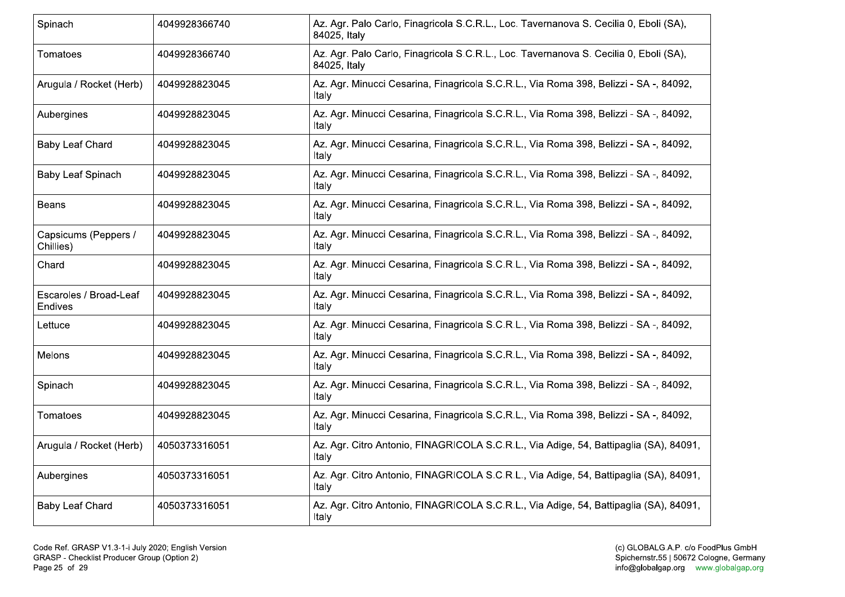| Spinach                           | 4049928366740 | Az. Agr. Palo Carlo, Finagricola S.C.R.L., Loc. Tavernanova S. Cecilia 0, Eboli (SA),<br>84025, Italy |
|-----------------------------------|---------------|-------------------------------------------------------------------------------------------------------|
| Tomatoes                          | 4049928366740 | Az. Agr. Palo Carlo, Finagricola S.C.R.L., Loc. Tavernanova S. Cecilia 0, Eboli (SA),<br>84025, Italy |
| Arugula / Rocket (Herb)           | 4049928823045 | Az. Agr. Minucci Cesarina, Finagricola S.C.R.L., Via Roma 398, Belizzi - SA -, 84092,<br>Italy        |
| Aubergines                        | 4049928823045 | Az. Agr. Minucci Cesarina, Finagricola S.C.R.L., Via Roma 398, Belizzi - SA -, 84092,<br>Italy        |
| Baby Leaf Chard                   | 4049928823045 | Az. Agr. Minucci Cesarina, Finagricola S.C.R.L., Via Roma 398, Belizzi - SA -, 84092,<br>Italy        |
| Baby Leaf Spinach                 | 4049928823045 | Az. Agr. Minucci Cesarina, Finagricola S.C.R.L., Via Roma 398, Belizzi - SA -, 84092,<br>Italv        |
| Beans                             | 4049928823045 | Az. Agr. Minucci Cesarina, Finagricola S.C.R.L., Via Roma 398, Belizzi - SA -, 84092,<br>Italy        |
| Capsicums (Peppers /<br>Chillies) | 4049928823045 | Az. Agr. Minucci Cesarina, Finagricola S.C.R.L., Via Roma 398, Belizzi - SA -, 84092,<br>Italy        |
| Chard                             | 4049928823045 | Az. Agr. Minucci Cesarina, Finagricola S.C.R.L., Via Roma 398, Belizzi - SA -, 84092,<br>Italv        |
| Escaroles / Broad-Leaf<br>Endives | 4049928823045 | Az. Agr. Minucci Cesarina, Finagricola S.C.R.L., Via Roma 398, Belizzi - SA -, 84092,<br>Italv        |
| Lettuce                           | 4049928823045 | Az. Agr. Minucci Cesarina, Finagricola S.C.R.L., Via Roma 398, Belizzi - SA -, 84092,<br>Italv        |
| Melons                            | 4049928823045 | Az. Agr. Minucci Cesarina, Finagricola S.C.R.L., Via Roma 398, Belizzi - SA -, 84092,<br>Italy        |
| Spinach                           | 4049928823045 | Az. Agr. Minucci Cesarina, Finagricola S.C.R.L., Via Roma 398, Belizzi - SA -, 84092,<br>Italy        |
| Tomatoes                          | 4049928823045 | Az. Agr. Minucci Cesarina, Finagricola S.C.R.L., Via Roma 398, Belizzi - SA -, 84092,<br>Italy        |
| Arugula / Rocket (Herb)           | 4050373316051 | Az. Agr. Citro Antonio, FINAGRICOLA S.C.R.L., Via Adige, 54, Battipaglia (SA), 84091,<br>Italv        |
| Aubergines                        | 4050373316051 | Az. Agr. Citro Antonio, FINAGRICOLA S.C.R.L., Via Adige, 54, Battipaglia (SA), 84091,<br>Italv        |
| <b>Baby Leaf Chard</b>            | 4050373316051 | Az. Agr. Citro Antonio, FINAGRICOLA S.C.R.L., Via Adige, 54, Battipaglia (SA), 84091,<br>Italy        |
|                                   |               |                                                                                                       |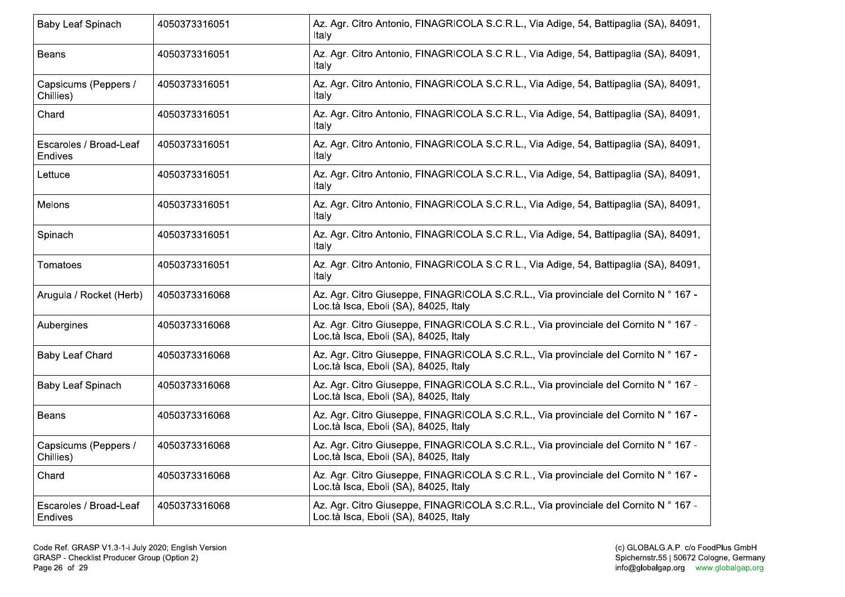| Baby Leaf Spinach                 | 4050373316051 | Az. Agr. Citro Antonio, FINAGRICOLA S.C.R.L., Via Adige, 54, Battipaglia (SA), 84091,<br>Italv                                |
|-----------------------------------|---------------|-------------------------------------------------------------------------------------------------------------------------------|
| Beans                             | 4050373316051 | Az. Agr. Citro Antonio, FINAGRICOLA S.C.R.L., Via Adige, 54, Battipaglia (SA), 84091,<br>Italy                                |
| Capsicums (Peppers /<br>Chillies) | 4050373316051 | Az. Agr. Citro Antonio, FINAGRICOLA S.C.R.L., Via Adige, 54, Battipaglia (SA), 84091,<br>Italy                                |
| Chard                             | 4050373316051 | Az. Agr. Citro Antonio, FINAGRICOLA S.C.R.L., Via Adige, 54, Battipaglia (SA), 84091,<br>Italy                                |
| Escaroles / Broad-Leaf<br>Endives | 4050373316051 | Az. Agr. Citro Antonio, FINAGRICOLA S.C.R.L., Via Adige, 54, Battipaglia (SA), 84091,<br>Italy                                |
| Lettuce                           | 4050373316051 | Az. Agr. Citro Antonio, FINAGRICOLA S.C.R.L., Via Adige, 54, Battipaglia (SA), 84091,<br>Italv                                |
| Melons                            | 4050373316051 | Az. Agr. Citro Antonio, FINAGRICOLA S.C.R.L., Via Adige, 54, Battipaglia (SA), 84091,<br>Italv                                |
| Spinach                           | 4050373316051 | Az. Agr. Citro Antonio, FINAGRICOLA S.C.R.L., Via Adige, 54, Battipaglia (SA), 84091,<br>Italy                                |
| Tomatoes                          | 4050373316051 | Az. Agr. Citro Antonio, FINAGRICOLA S.C.R.L., Via Adige, 54, Battipaglia (SA), 84091,<br>Italy                                |
| Arugula / Rocket (Herb)           | 4050373316068 | Az. Agr. Citro Giuseppe, FINAGRICOLA S.C.R.L., Via provinciale del Cornito N ° 167 -<br>Loc.tà Isca, Eboli (SA), 84025, Italy |
| Aubergines                        | 4050373316068 | Az. Agr. Citro Giuseppe, FINAGRICOLA S.C.R.L., Via provinciale del Cornito N ° 167 -<br>Loc.tà Isca, Eboli (SA), 84025, Italy |
| <b>Baby Leaf Chard</b>            | 4050373316068 | Az. Agr. Citro Giuseppe, FINAGRICOLA S.C.R.L., Via provinciale del Cornito N ° 167 -<br>Loc.tà Isca, Eboli (SA), 84025, Italy |
| <b>Baby Leaf Spinach</b>          | 4050373316068 | Az. Agr. Citro Giuseppe, FINAGRICOLA S.C.R.L., Via provinciale del Cornito N ° 167 -<br>Loc.tà Isca, Eboli (SA), 84025, Italy |
| <b>Beans</b>                      | 4050373316068 | Az. Agr. Citro Giuseppe, FINAGRICOLA S.C.R.L., Via provinciale del Cornito N ° 167 -<br>Loc.tà Isca, Eboli (SA), 84025, Italy |
| Capsicums (Peppers /<br>Chillies) | 4050373316068 | Az. Agr. Citro Giuseppe, FINAGRICOLA S.C.R.L., Via provinciale del Cornito N ° 167 -<br>Loc.tà Isca, Eboli (SA), 84025, Italy |
| Chard                             | 4050373316068 | Az. Agr. Citro Giuseppe, FINAGRICOLA S.C.R.L., Via provinciale del Cornito N ° 167 -<br>Loc.tà Isca, Eboli (SA), 84025, Italy |
| Escaroles / Broad-Leaf<br>Endives | 4050373316068 | Az. Agr. Citro Giuseppe, FINAGRICOLA S.C.R.L., Via provinciale del Cornito N ° 167 -<br>Loc.tà Isca, Eboli (SA), 84025, Italy |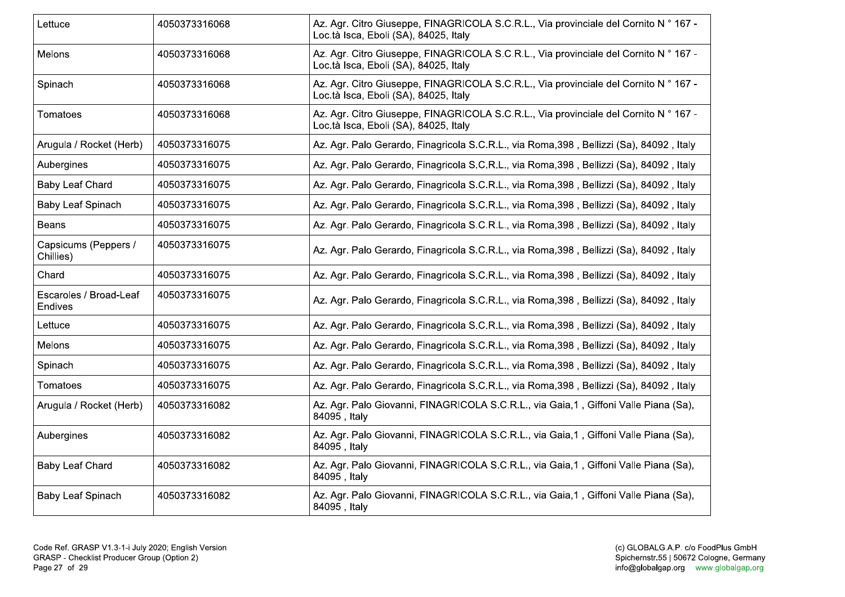| Lettuce                                  | 4050373316068 | Az. Agr. Citro Giuseppe, FINAGRICOLA S.C.R.L., Via provinciale del Cornito N ° 167 -<br>Loc.tà Isca, Eboli (SA), 84025, Italy |
|------------------------------------------|---------------|-------------------------------------------------------------------------------------------------------------------------------|
| Melons                                   | 4050373316068 | Az. Agr. Citro Giuseppe, FINAGRICOLA S.C.R.L., Via provinciale del Cornito N ° 167 -<br>Loc.tà Isca, Eboli (SA), 84025, Italy |
| Spinach                                  | 4050373316068 | Az. Agr. Citro Giuseppe, FINAGRICOLA S.C.R.L., Via provinciale del Cornito N ° 167 -<br>Loc.tà Isca, Eboli (SA), 84025, Italy |
| Tomatoes                                 | 4050373316068 | Az. Agr. Citro Giuseppe, FINAGRICOLA S.C.R.L., Via provinciale del Cornito N ° 167 -<br>Loc.tà Isca, Eboli (SA), 84025, Italy |
| Arugula / Rocket (Herb)                  | 4050373316075 | Az. Agr. Palo Gerardo, Finagricola S.C.R.L., via Roma, 398, Bellizzi (Sa), 84092, Italy                                       |
| Aubergines                               | 4050373316075 | Az. Agr. Palo Gerardo, Finagricola S.C.R.L., via Roma, 398, Bellizzi (Sa), 84092, Italy                                       |
| <b>Baby Leaf Chard</b>                   | 4050373316075 | Az. Agr. Palo Gerardo, Finagricola S.C.R.L., via Roma, 398, Bellizzi (Sa), 84092, Italy                                       |
| <b>Baby Leaf Spinach</b>                 | 4050373316075 | Az. Agr. Palo Gerardo, Finagricola S.C.R.L., via Roma, 398, Bellizzi (Sa), 84092, Italy                                       |
| <b>Beans</b>                             | 4050373316075 | Az. Agr. Palo Gerardo, Finagricola S.C.R.L., via Roma, 398, Bellizzi (Sa), 84092, Italy                                       |
| Capsicums (Peppers /<br>Chillies)        | 4050373316075 | Az. Agr. Palo Gerardo, Finagricola S.C.R.L., via Roma, 398, Bellizzi (Sa), 84092, Italy                                       |
| Chard                                    | 4050373316075 | Az. Agr. Palo Gerardo, Finagricola S.C.R.L., via Roma, 398, Bellizzi (Sa), 84092, Italy                                       |
| Escaroles / Broad-Leaf<br><b>Endives</b> | 4050373316075 | Az. Agr. Palo Gerardo, Finagricola S.C.R.L., via Roma, 398, Bellizzi (Sa), 84092, Italy                                       |
| Lettuce                                  | 4050373316075 | Az. Agr. Palo Gerardo, Finagricola S.C.R.L., via Roma, 398, Bellizzi (Sa), 84092, Italy                                       |
| Melons                                   | 4050373316075 | Az. Agr. Palo Gerardo, Finagricola S.C.R.L., via Roma, 398, Bellizzi (Sa), 84092, Italy                                       |
| Spinach                                  | 4050373316075 | Az. Agr. Palo Gerardo, Finagricola S.C.R.L., via Roma, 398, Bellizzi (Sa), 84092, Italy                                       |
| Tomatoes                                 | 4050373316075 | Az. Agr. Palo Gerardo, Finagricola S.C.R.L., via Roma, 398, Bellizzi (Sa), 84092, Italy                                       |
| Arugula / Rocket (Herb)                  | 4050373316082 | Az. Agr. Palo Giovanni, FINAGRICOLA S.C.R.L., via Gaia,1, Giffoni Valle Piana (Sa),<br>84095, Italy                           |
| Aubergines                               | 4050373316082 | Az. Agr. Palo Giovanni, FINAGRICOLA S.C.R.L., via Gaia,1, Giffoni Valle Piana (Sa),<br>84095, Italy                           |
| <b>Baby Leaf Chard</b>                   | 4050373316082 | Az. Agr. Palo Giovanni, FINAGRICOLA S.C.R.L., via Gaia,1, Giffoni Valle Piana (Sa),<br>84095, Italy                           |
| <b>Baby Leaf Spinach</b>                 | 4050373316082 | Az. Agr. Palo Giovanni, FINAGRICOLA S.C.R.L., via Gaia,1, Giffoni Valle Piana (Sa),<br>84095, Italy                           |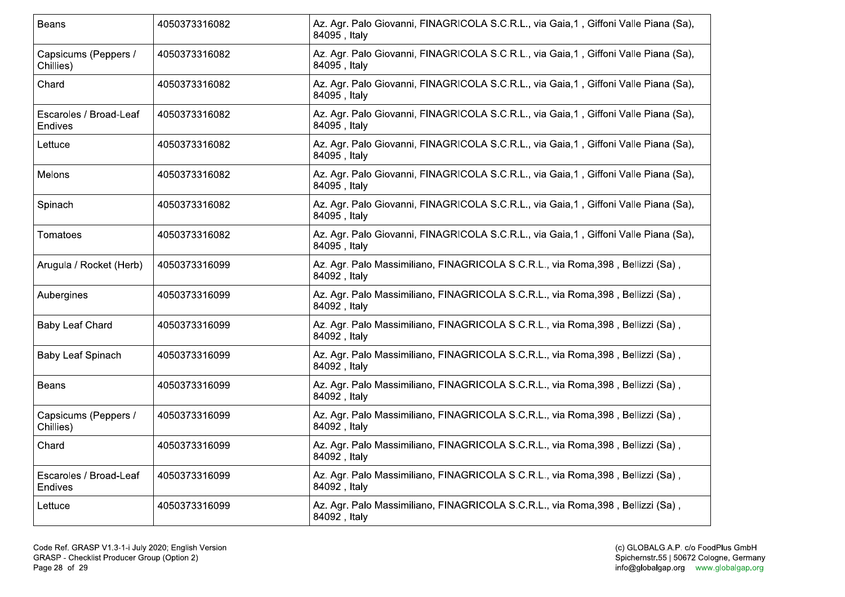| Beans                                    | 4050373316082 | Az. Agr. Palo Giovanni, FINAGRICOLA S.C.R.L., via Gaia,1, Giffoni Valle Piana (Sa),<br>84095, Italy |
|------------------------------------------|---------------|-----------------------------------------------------------------------------------------------------|
| Capsicums (Peppers /<br>Chillies)        | 4050373316082 | Az. Agr. Palo Giovanni, FINAGRICOLA S.C.R.L., via Gaia,1, Giffoni Valle Piana (Sa),<br>84095, Italy |
| Chard                                    | 4050373316082 | Az. Agr. Palo Giovanni, FINAGRICOLA S.C.R.L., via Gaia,1, Giffoni Valle Piana (Sa),<br>84095, Italy |
| Escaroles / Broad-Leaf<br>Endives        | 4050373316082 | Az. Agr. Palo Giovanni, FINAGRICOLA S.C.R.L., via Gaia,1, Giffoni Valle Piana (Sa),<br>84095, Italy |
| Lettuce                                  | 4050373316082 | Az. Agr. Palo Giovanni, FINAGRICOLA S.C.R.L., via Gaia,1, Giffoni Valle Piana (Sa),<br>84095, Italy |
| Melons                                   | 4050373316082 | Az. Agr. Palo Giovanni, FINAGRICOLA S.C.R.L., via Gaia,1, Giffoni Valle Piana (Sa),<br>84095, Italy |
| Spinach                                  | 4050373316082 | Az. Agr. Palo Giovanni, FINAGRICOLA S.C.R.L., via Gaia,1, Giffoni Valle Piana (Sa),<br>84095, Italy |
| Tomatoes                                 | 4050373316082 | Az. Agr. Palo Giovanni, FINAGRICOLA S.C.R.L., via Gaia,1, Giffoni Valle Piana (Sa),<br>84095, Italy |
| Arugula / Rocket (Herb)                  | 4050373316099 | Az. Agr. Palo Massimiliano, FINAGRICOLA S.C.R.L., via Roma,398, Bellizzi (Sa),<br>84092, Italy      |
| Aubergines                               | 4050373316099 | Az. Agr. Palo Massimiliano, FINAGRICOLA S.C.R.L., via Roma,398, Bellizzi (Sa),<br>84092, Italy      |
| <b>Baby Leaf Chard</b>                   | 4050373316099 | Az. Agr. Palo Massimiliano, FINAGRICOLA S.C.R.L., via Roma,398, Bellizzi (Sa),<br>84092, Italy      |
| Baby Leaf Spinach                        | 4050373316099 | Az. Agr. Palo Massimiliano, FINAGRICOLA S.C.R.L., via Roma, 398, Bellizzi (Sa),<br>84092, Italy     |
| <b>Beans</b>                             | 4050373316099 | Az. Agr. Palo Massimiliano, FINAGRICOLA S.C.R.L., via Roma,398, Bellizzi (Sa),<br>84092, Italy      |
| Capsicums (Peppers /<br>Chillies)        | 4050373316099 | Az. Agr. Palo Massimiliano, FINAGRICOLA S.C.R.L., via Roma,398, Bellizzi (Sa),<br>84092, Italy      |
| Chard                                    | 4050373316099 | Az. Agr. Palo Massimiliano, FINAGRICOLA S.C.R.L., via Roma,398, Bellizzi (Sa),<br>84092, Italy      |
| Escaroles / Broad-Leaf<br><b>Endives</b> | 4050373316099 | Az. Agr. Palo Massimiliano, FINAGRICOLA S.C.R.L., via Roma, 398, Bellizzi (Sa),<br>84092, Italy     |
| Lettuce                                  | 4050373316099 | Az. Agr. Palo Massimiliano, FINAGRICOLA S.C.R.L., via Roma, 398, Bellizzi (Sa),<br>84092, Italy     |